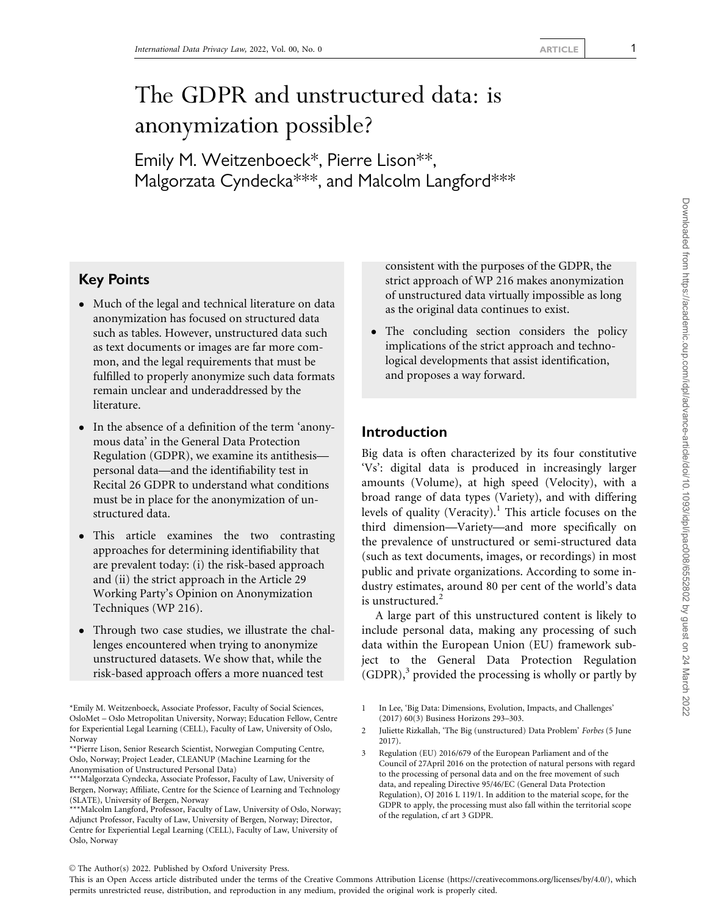# The GDPR and unstructured data: is anonymization possible?

Emily M. Weitzenboeck\*, Pierre Lison\*\*, Malgorzata Cyndecka\*\*\*, and Malcolm Langford\*\*\*

# Key Points

- Much of the legal and technical literature on data anonymization has focused on structured data such as tables. However, unstructured data such as text documents or images are far more common, and the legal requirements that must be fulfilled to properly anonymize such data formats remain unclear and underaddressed by the literature.
- In the absence of a definition of the term 'anonymous data' in the General Data Protection Regulation (GDPR), we examine its antithesis personal data—and the identifiability test in Recital 26 GDPR to understand what conditions must be in place for the anonymization of unstructured data.
- This article examines the two contrasting approaches for determining identifiability that are prevalent today: (i) the risk-based approach and (ii) the strict approach in the Article 29 Working Party's Opinion on Anonymization Techniques (WP 216).
- Through two case studies, we illustrate the challenges encountered when trying to anonymize unstructured datasets. We show that, while the risk-based approach offers a more nuanced test

\*Emily M. Weitzenboeck, Associate Professor, Faculty of Social Sciences, OsloMet – Oslo Metropolitan University, Norway; Education Fellow, Centre for Experiential Legal Learning (CELL), Faculty of Law, University of Oslo, Norway

consistent with the purposes of the GDPR, the strict approach of WP 216 makes anonymization of unstructured data virtually impossible as long as the original data continues to exist.

- The concluding section considers the policy implications of the strict approach and technological developments that assist identification, and proposes a way forward.

## Introduction

Big data is often characterized by its four constitutive 'Vs': digital data is produced in increasingly larger amounts (Volume), at high speed (Velocity), with a broad range of data types (Variety), and with differing levels of quality (Veracity).<sup>1</sup> This article focuses on the third dimension—Variety—and more specifically on the prevalence of unstructured or semi-structured data (such as text documents, images, or recordings) in most public and private organizations. According to some industry estimates, around 80 per cent of the world's data is unstructured. $2$ 

A large part of this unstructured content is likely to include personal data, making any processing of such data within the European Union (EU) framework subject to the General Data Protection Regulation  $(GDPR)<sup>3</sup>$  provided the processing is wholly or partly by

 $\odot$  The Author(s) 2022. Published by Oxford University Press.

This is an Open Access article distributed under the terms of the Creative Commons Attribution License (https://creativecommons.org/licenses/by/4.0/), which permits unrestricted reuse, distribution, and reproduction in any medium, provided the original work is properly cited.

<sup>\*\*</sup>Pierre Lison, Senior Research Scientist, Norwegian Computing Centre, Oslo, Norway; Project Leader, CLEANUP (Machine Learning for the Anonymisation of Unstructured Personal Data)

<sup>\*\*\*</sup>Malgorzata Cyndecka, Associate Professor, Faculty of Law, University of Bergen, Norway; Affiliate, Centre for the Science of Learning and Technology (SLATE), University of Bergen, Norway

<sup>\*\*\*</sup>Malcolm Langford, Professor, Faculty of Law, University of Oslo, Norway; Adjunct Professor, Faculty of Law, University of Bergen, Norway; Director, Centre for Experiential Legal Learning (CELL), Faculty of Law, University of Oslo, Norway

<sup>1</sup> In Lee, 'Big Data: Dimensions, Evolution, Impacts, and Challenges' (2017) 60(3) Business Horizons 293–303.

<sup>2</sup> Juliette Rizkallah, 'The Big (unstructured) Data Problem' Forbes (5 June 2017).

Regulation (EU) 2016/679 of the European Parliament and of the Council of 27April 2016 on the protection of natural persons with regard to the processing of personal data and on the free movement of such data, and repealing Directive 95/46/EC (General Data Protection Regulation), OJ 2016 L 119/1. In addition to the material scope, for the GDPR to apply, the processing must also fall within the territorial scope of the regulation, cf art 3 GDPR.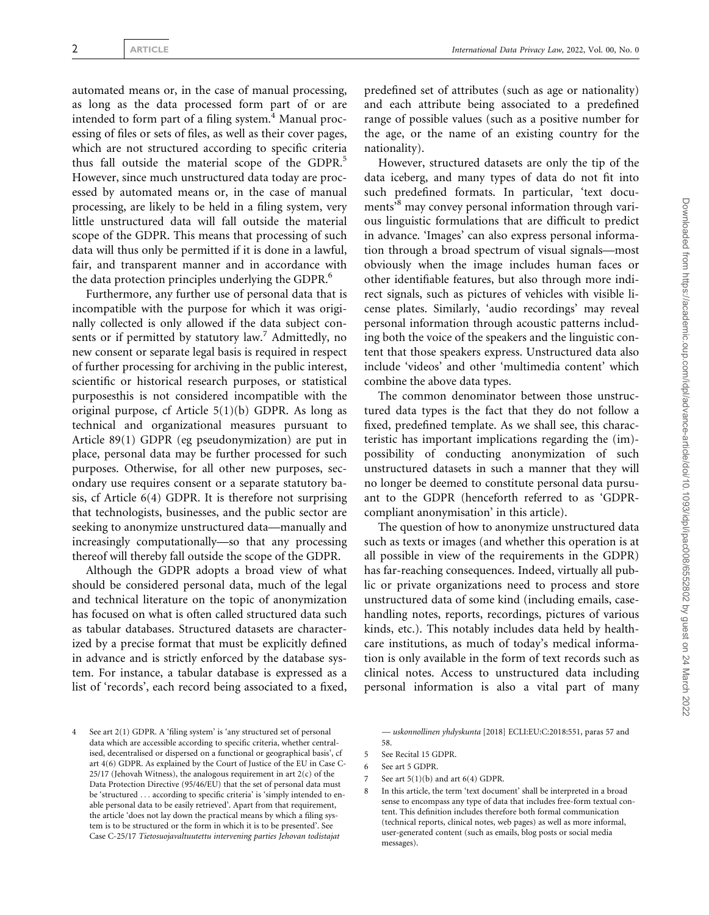automated means or, in the case of manual processing, as long as the data processed form part of or are intended to form part of a filing system. $4$  Manual processing of files or sets of files, as well as their cover pages, which are not structured according to specific criteria thus fall outside the material scope of the GDPR.<sup>5</sup> However, since much unstructured data today are processed by automated means or, in the case of manual processing, are likely to be held in a filing system, very little unstructured data will fall outside the material scope of the GDPR. This means that processing of such data will thus only be permitted if it is done in a lawful, fair, and transparent manner and in accordance with the data protection principles underlying the GDPR.<sup>6</sup>

Furthermore, any further use of personal data that is incompatible with the purpose for which it was originally collected is only allowed if the data subject consents or if permitted by statutory  $law<sup>7</sup>$  Admittedly, no new consent or separate legal basis is required in respect of further processing for archiving in the public interest, scientific or historical research purposes, or statistical purposesthis is not considered incompatible with the original purpose, cf Article 5(1)(b) GDPR. As long as technical and organizational measures pursuant to Article 89(1) GDPR (eg pseudonymization) are put in place, personal data may be further processed for such purposes. Otherwise, for all other new purposes, secondary use requires consent or a separate statutory basis, cf Article 6(4) GDPR. It is therefore not surprising that technologists, businesses, and the public sector are seeking to anonymize unstructured data—manually and increasingly computationally—so that any processing thereof will thereby fall outside the scope of the GDPR.

Although the GDPR adopts a broad view of what should be considered personal data, much of the legal and technical literature on the topic of anonymization has focused on what is often called structured data such as tabular databases. Structured datasets are characterized by a precise format that must be explicitly defined in advance and is strictly enforced by the database system. For instance, a tabular database is expressed as a list of 'records', each record being associated to a fixed,

predefined set of attributes (such as age or nationality) and each attribute being associated to a predefined range of possible values (such as a positive number for the age, or the name of an existing country for the nationality).

However, structured datasets are only the tip of the data iceberg, and many types of data do not fit into such predefined formats. In particular, 'text documents<sup>8</sup> may convey personal information through various linguistic formulations that are difficult to predict in advance. 'Images' can also express personal information through a broad spectrum of visual signals—most obviously when the image includes human faces or other identifiable features, but also through more indirect signals, such as pictures of vehicles with visible license plates. Similarly, 'audio recordings' may reveal personal information through acoustic patterns including both the voice of the speakers and the linguistic content that those speakers express. Unstructured data also include 'videos' and other 'multimedia content' which combine the above data types.

The common denominator between those unstructured data types is the fact that they do not follow a fixed, predefined template. As we shall see, this characteristic has important implications regarding the (im) possibility of conducting anonymization of such unstructured datasets in such a manner that they will no longer be deemed to constitute personal data pursuant to the GDPR (henceforth referred to as 'GDPRcompliant anonymisation' in this article).

The question of how to anonymize unstructured data such as texts or images (and whether this operation is at all possible in view of the requirements in the GDPR) has far-reaching consequences. Indeed, virtually all public or private organizations need to process and store unstructured data of some kind (including emails, casehandling notes, reports, recordings, pictures of various kinds, etc.). This notably includes data held by healthcare institutions, as much of today's medical information is only available in the form of text records such as clinical notes. Access to unstructured data including personal information is also a vital part of many

— uskonnollinen yhdyskunta [2018] ECLI:EU:C:2018:551, paras 57 and 58.

7 See art 5(1)(b) and art 6(4) GDPR.

<sup>4</sup> See art 2(1) GDPR. A 'filing system' is 'any structured set of personal data which are accessible according to specific criteria, whether centralised, decentralised or dispersed on a functional or geographical basis', cf art 4(6) GDPR. As explained by the Court of Justice of the EU in Case C- $25/17$  (Jehovah Witness), the analogous requirement in art  $2(c)$  of the Data Protection Directive (95/46/EU) that the set of personal data must be 'structured ... according to specific criteria' is 'simply intended to enable personal data to be easily retrieved'. Apart from that requirement, the article 'does not lay down the practical means by which a filing system is to be structured or the form in which it is to be presented'. See Case C-25/17 Tietosuojavaltuutettu intervening parties Jehovan todistajat

<sup>5</sup> See Recital 15 GDPR.

<sup>6</sup> See art 5 GDPR.

<sup>8</sup> In this article, the term 'text document' shall be interpreted in a broad sense to encompass any type of data that includes free-form textual content. This definition includes therefore both formal communication (technical reports, clinical notes, web pages) as well as more informal, user-generated content (such as emails, blog posts or social media messages).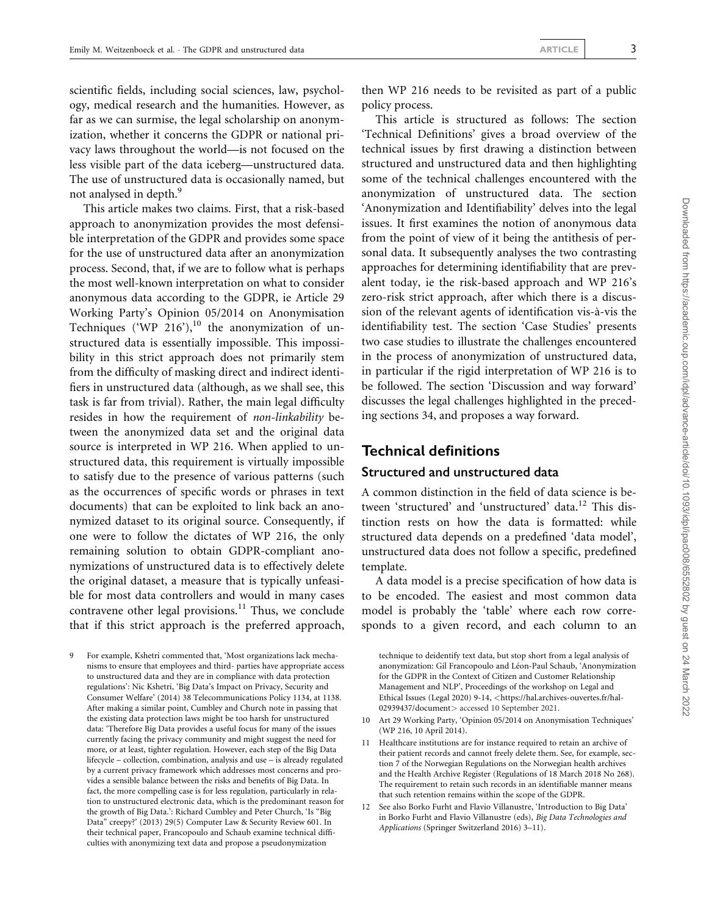scientific fields, including social sciences, law, psychology, medical research and the humanities. However, as far as we can surmise, the legal scholarship on anonymization, whether it concerns the GDPR or national privacy laws throughout the world—is not focused on the less visible part of the data iceberg—unstructured data. The use of unstructured data is occasionally named, but not analysed in depth.<sup>9</sup>

This article makes two claims. First, that a risk-based approach to anonymization provides the most defensible interpretation of the GDPR and provides some space for the use of unstructured data after an anonymization process. Second, that, if we are to follow what is perhaps the most well-known interpretation on what to consider anonymous data according to the GDPR, ie Article 29 Working Party's Opinion 05/2014 on Anonymisation Techniques ('WP 216'),<sup>10</sup> the anonymization of unstructured data is essentially impossible. This impossibility in this strict approach does not primarily stem from the difficulty of masking direct and indirect identifiers in unstructured data (although, as we shall see, this task is far from trivial). Rather, the main legal difficulty resides in how the requirement of non-linkability between the anonymized data set and the original data source is interpreted in WP 216. When applied to unstructured data, this requirement is virtually impossible to satisfy due to the presence of various patterns (such as the occurrences of specific words or phrases in text documents) that can be exploited to link back an anonymized dataset to its original source. Consequently, if one were to follow the dictates of WP 216, the only remaining solution to obtain GDPR-compliant anonymizations of unstructured data is to effectively delete the original dataset, a measure that is typically unfeasible for most data controllers and would in many cases contravene other legal provisions.<sup>11</sup> Thus, we conclude that if this strict approach is the preferred approach,

9 For example, Kshetri commented that, 'Most organizations lack mechanisms to ensure that employees and third- parties have appropriate access to unstructured data and they are in compliance with data protection regulations': Nic Kshetri, 'Big Data's Impact on Privacy, Security and Consumer Welfare' (2014) 38 Telecommunications Policy 1134, at 1138. After making a similar point, Cumbley and Church note in passing that the existing data protection laws might be too harsh for unstructured data: 'Therefore Big Data provides a useful focus for many of the issues currently facing the privacy community and might suggest the need for more, or at least, tighter regulation. However, each step of the Big Data lifecycle – collection, combination, analysis and use – is already regulated by a current privacy framework which addresses most concerns and provides a sensible balance between the risks and benefits of Big Data. In fact, the more compelling case is for less regulation, particularly in relation to unstructured electronic data, which is the predominant reason for the growth of Big Data.': Richard Cumbley and Peter Church, 'Is "Big Data" creepy?' (2013) 29(5) Computer Law & Security Review 601. In their technical paper, Francopoulo and Schaub examine technical difficulties with anonymizing text data and propose a pseudonymization

then WP 216 needs to be revisited as part of a public policy process.

This article is structured as follows: The section 'Technical Definitions' gives a broad overview of the technical issues by first drawing a distinction between structured and unstructured data and then highlighting some of the technical challenges encountered with the anonymization of unstructured data. The section 'Anonymization and Identifiability' delves into the legal issues. It first examines the notion of anonymous data from the point of view of it being the antithesis of personal data. It subsequently analyses the two contrasting approaches for determining identifiability that are prevalent today, ie the risk-based approach and WP 216's zero-risk strict approach, after which there is a discussion of the relevant agents of identification vis-à-vis the identifiability test. The section 'Case Studies' presents two case studies to illustrate the challenges encountered in the process of anonymization of unstructured data, in particular if the rigid interpretation of WP 216 is to be followed. The section 'Discussion and way forward' discusses the legal challenges highlighted in the preceding sections 34, and proposes a way forward.

## Technical definitions

#### Structured and unstructured data

A common distinction in the field of data science is between 'structured' and 'unstructured' data.<sup>12</sup> This distinction rests on how the data is formatted: while structured data depends on a predefined 'data model', unstructured data does not follow a specific, predefined template.

A data model is a precise specification of how data is to be encoded. The easiest and most common data model is probably the 'table' where each row corresponds to a given record, and each column to an

technique to deidentify text data, but stop short from a legal analysis of anonymization: Gil Francopoulo and Léon-Paul Schaub, 'Anonymization for the GDPR in the Context of Citizen and Customer Relationship Management and NLP', Proceedings of the workshop on Legal and Ethical Issues (Legal 2020) 9-14, <[https://hal.archives-ouvertes.fr/hal-](https://hal.archives-ouvertes.fr/hal-02939437/document)[02939437/document](https://hal.archives-ouvertes.fr/hal-02939437/document)> accessed 10 September 2021.

- 10 Art 29 Working Party, 'Opinion 05/2014 on Anonymisation Techniques' (WP 216, 10 April 2014).
- 11 Healthcare institutions are for instance required to retain an archive of their patient records and cannot freely delete them. See, for example, section 7 of the Norwegian Regulations on the Norwegian health archives and the Health Archive Register (Regulations of 18 March 2018 No 268). The requirement to retain such records in an identifiable manner means that such retention remains within the scope of the GDPR.
- 12 See also Borko Furht and Flavio Villanustre, 'Introduction to Big Data' in Borko Furht and Flavio Villanustre (eds), Big Data Technologies and Applications (Springer Switzerland 2016) 3–11).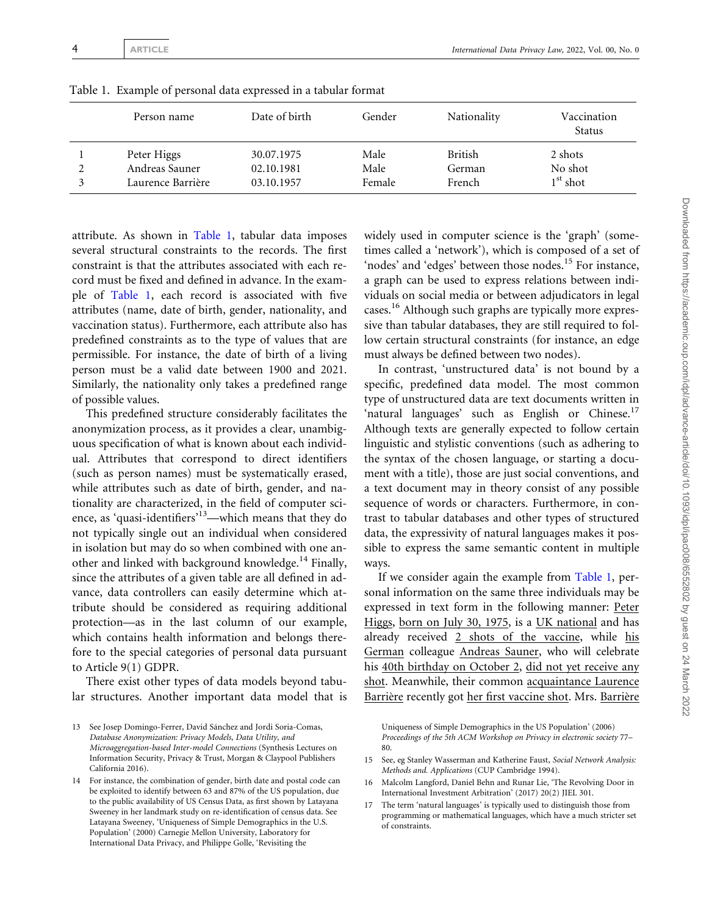| Person name       | Date of birth | Gender | Nationality | Vaccination<br>Status |
|-------------------|---------------|--------|-------------|-----------------------|
| Peter Higgs       | 30.07.1975    | Male   | British     | 2 shots               |
| Andreas Sauner    | 02.10.1981    | Male   | German      | No shot               |
| Laurence Barrière | 03.10.1957    | Female | French      | $1st$ shot            |

<span id="page-3-0"></span>Table 1. Example of personal data expressed in a tabular format

attribute. As shown in Table 1, tabular data imposes several structural constraints to the records. The first constraint is that the attributes associated with each record must be fixed and defined in advance. In the example of Table 1, each record is associated with five attributes (name, date of birth, gender, nationality, and vaccination status). Furthermore, each attribute also has predefined constraints as to the type of values that are permissible. For instance, the date of birth of a living person must be a valid date between 1900 and 2021. Similarly, the nationality only takes a predefined range of possible values.

This predefined structure considerably facilitates the anonymization process, as it provides a clear, unambiguous specification of what is known about each individual. Attributes that correspond to direct identifiers (such as person names) must be systematically erased, while attributes such as date of birth, gender, and nationality are characterized, in the field of computer science, as 'quasi-identifiers'13—which means that they do not typically single out an individual when considered in isolation but may do so when combined with one another and linked with background knowledge.<sup>14</sup> Finally, since the attributes of a given table are all defined in advance, data controllers can easily determine which attribute should be considered as requiring additional protection—as in the last column of our example, which contains health information and belongs therefore to the special categories of personal data pursuant to Article 9(1) GDPR.

There exist other types of data models beyond tabular structures. Another important data model that is widely used in computer science is the 'graph' (sometimes called a 'network'), which is composed of a set of 'nodes' and 'edges' between those nodes.<sup>15</sup> For instance, a graph can be used to express relations between individuals on social media or between adjudicators in legal cases.16 Although such graphs are typically more expressive than tabular databases, they are still required to follow certain structural constraints (for instance, an edge must always be defined between two nodes).

In contrast, 'unstructured data' is not bound by a specific, predefined data model. The most common type of unstructured data are text documents written in 'natural languages' such as English or Chinese.<sup>17</sup> Although texts are generally expected to follow certain linguistic and stylistic conventions (such as adhering to the syntax of the chosen language, or starting a document with a title), those are just social conventions, and a text document may in theory consist of any possible sequence of words or characters. Furthermore, in contrast to tabular databases and other types of structured data, the expressivity of natural languages makes it possible to express the same semantic content in multiple ways.

If we consider again the example from Table 1, personal information on the same three individuals may be expressed in text form in the following manner: Peter Higgs, born on July 30, 1975, is a UK national and has already received 2 shots of the vaccine, while his German colleague Andreas Sauner, who will celebrate his 40th birthday on October 2, did not yet receive any shot. Meanwhile, their common acquaintance Laurence Barrière recently got her first vaccine shot. Mrs. Barrière

Uniqueness of Simple Demographics in the US Population' (2006) Proceedings of the 5th ACM Workshop on Privacy in electronic society 77– 80.

- 16 Malcolm Langford, Daniel Behn and Runar Lie, 'The Revolving Door in International Investment Arbitration' (2017) 20(2) JIEL 301.
- 17 The term 'natural languages' is typically used to distinguish those from programming or mathematical languages, which have a much stricter set of constraints.

<sup>13</sup> See Josep Domingo-Ferrer, David Sánchez and Jordi Soria-Comas, Database Anonymization: Privacy Models, Data Utility, and Microaggregation-based Inter-model Connections (Synthesis Lectures on Information Security, Privacy & Trust, Morgan & Claypool Publishers California 2016).

<sup>14</sup> For instance, the combination of gender, birth date and postal code can be exploited to identify between 63 and 87% of the US population, due to the public availability of US Census Data, as first shown by Latayana Sweeney in her landmark study on re-identification of census data. See Latayana Sweeney, 'Uniqueness of Simple Demographics in the U.S. Population' (2000) Carnegie Mellon University, Laboratory for International Data Privacy, and Philippe Golle, 'Revisiting the

<sup>15</sup> See, eg Stanley Wasserman and Katherine Faust, Social Network Analysis: Methods and. Applications (CUP Cambridge 1994).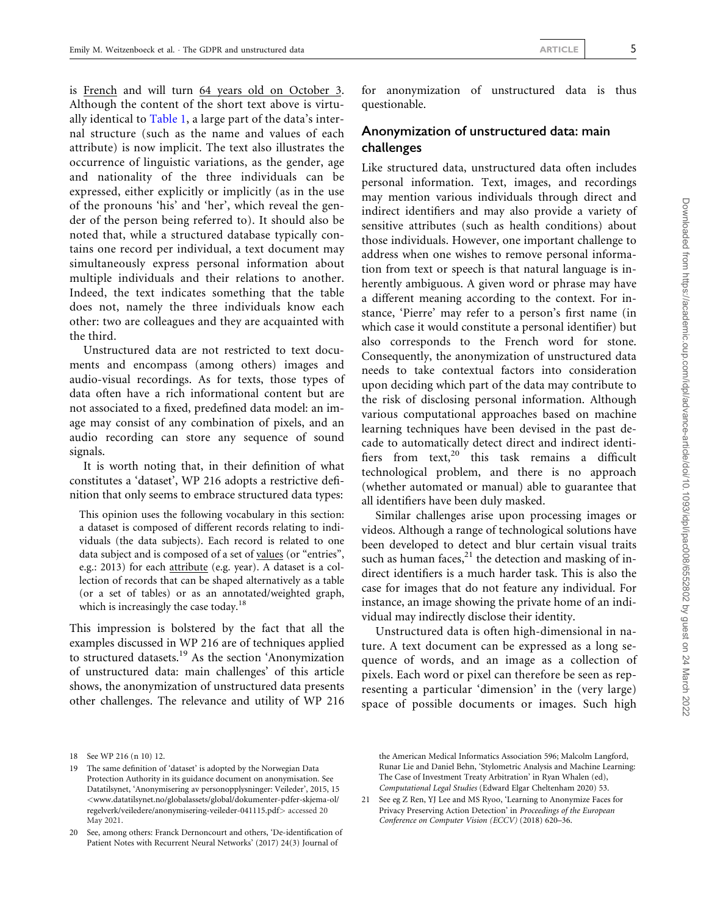is French and will turn 64 years old on October 3. Although the content of the short text above is virtually identical to [Table 1](#page-3-0), a large part of the data's internal structure (such as the name and values of each attribute) is now implicit. The text also illustrates the occurrence of linguistic variations, as the gender, age and nationality of the three individuals can be expressed, either explicitly or implicitly (as in the use of the pronouns 'his' and 'her', which reveal the gender of the person being referred to). It should also be noted that, while a structured database typically contains one record per individual, a text document may simultaneously express personal information about multiple individuals and their relations to another. Indeed, the text indicates something that the table does not, namely the three individuals know each other: two are colleagues and they are acquainted with the third.

Unstructured data are not restricted to text documents and encompass (among others) images and audio-visual recordings. As for texts, those types of data often have a rich informational content but are not associated to a fixed, predefined data model: an image may consist of any combination of pixels, and an audio recording can store any sequence of sound signals.

It is worth noting that, in their definition of what constitutes a 'dataset', WP 216 adopts a restrictive definition that only seems to embrace structured data types:

This opinion uses the following vocabulary in this section: a dataset is composed of different records relating to individuals (the data subjects). Each record is related to one data subject and is composed of a set of values (or "entries", e.g.: 2013) for each attribute (e.g. year). A dataset is a collection of records that can be shaped alternatively as a table (or a set of tables) or as an annotated/weighted graph, which is increasingly the case today.<sup>18</sup>

This impression is bolstered by the fact that all the examples discussed in WP 216 are of techniques applied to structured datasets.19 As the section 'Anonymization of unstructured data: main challenges' of this article shows, the anonymization of unstructured data presents other challenges. The relevance and utility of WP 216 for anonymization of unstructured data is thus questionable.

## Anonymization of unstructured data: main challenges

Like structured data, unstructured data often includes personal information. Text, images, and recordings may mention various individuals through direct and indirect identifiers and may also provide a variety of sensitive attributes (such as health conditions) about those individuals. However, one important challenge to address when one wishes to remove personal information from text or speech is that natural language is inherently ambiguous. A given word or phrase may have a different meaning according to the context. For instance, 'Pierre' may refer to a person's first name (in which case it would constitute a personal identifier) but also corresponds to the French word for stone. Consequently, the anonymization of unstructured data needs to take contextual factors into consideration upon deciding which part of the data may contribute to the risk of disclosing personal information. Although various computational approaches based on machine learning techniques have been devised in the past decade to automatically detect direct and indirect identifiers from  $text,box{text}$  this task remains a difficult technological problem, and there is no approach (whether automated or manual) able to guarantee that all identifiers have been duly masked.

Similar challenges arise upon processing images or videos. Although a range of technological solutions have been developed to detect and blur certain visual traits such as human faces, $^{21}$  the detection and masking of indirect identifiers is a much harder task. This is also the case for images that do not feature any individual. For instance, an image showing the private home of an individual may indirectly disclose their identity.

Unstructured data is often high-dimensional in nature. A text document can be expressed as a long sequence of words, and an image as a collection of pixels. Each word or pixel can therefore be seen as representing a particular 'dimension' in the (very large) space of possible documents or images. Such high

the American Medical Informatics Association 596; Malcolm Langford, Runar Lie and Daniel Behn, 'Stylometric Analysis and Machine Learning: The Case of Investment Treaty Arbitration' in Ryan Whalen (ed), Computational Legal Studies (Edward Elgar Cheltenham 2020) 53.

21 See eg Z Ren, YJ Lee and MS Ryoo, 'Learning to Anonymize Faces for Privacy Preserving Action Detection' in Proceedings of the European Conference on Computer Vision (ECCV) (2018) 620–36.

<sup>18</sup> See WP 216 (n 10) 12.

<sup>19</sup> The same definition of 'dataset' is adopted by the Norwegian Data Protection Authority in its guidance document on anonymisation. See Datatilsynet, 'Anonymisering av personopplysninger: Veileder', 2015, 15 <[www.datatilsynet.no/globalassets/global/dokumenter-pdfer-skjema-ol/](http://www.datatilsynet.no/globalassets/global/dokumenter-pdfer-skjema-ol/regelverk/veiledere/anonymisering-veileder-041115.pdf) [regelverk/veiledere/anonymisering-veileder-041115.pdf](http://www.datatilsynet.no/globalassets/global/dokumenter-pdfer-skjema-ol/regelverk/veiledere/anonymisering-veileder-041115.pdf)> accessed 20 May 2021.

<sup>20</sup> See, among others: Franck Dernoncourt and others, 'De-identification of Patient Notes with Recurrent Neural Networks' (2017) 24(3) Journal of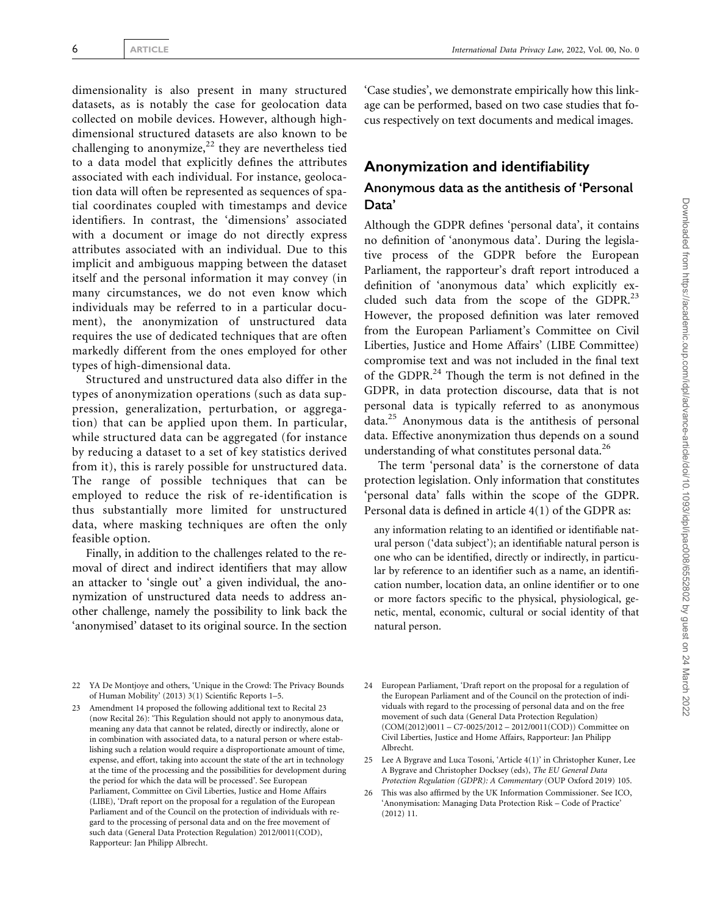dimensionality is also present in many structured datasets, as is notably the case for geolocation data collected on mobile devices. However, although highdimensional structured datasets are also known to be challenging to anonymize,<sup>22</sup> they are nevertheless tied to a data model that explicitly defines the attributes associated with each individual. For instance, geolocation data will often be represented as sequences of spatial coordinates coupled with timestamps and device identifiers. In contrast, the 'dimensions' associated with a document or image do not directly express attributes associated with an individual. Due to this implicit and ambiguous mapping between the dataset itself and the personal information it may convey (in many circumstances, we do not even know which individuals may be referred to in a particular document), the anonymization of unstructured data requires the use of dedicated techniques that are often markedly different from the ones employed for other types of high-dimensional data.

Structured and unstructured data also differ in the types of anonymization operations (such as data suppression, generalization, perturbation, or aggregation) that can be applied upon them. In particular, while structured data can be aggregated (for instance by reducing a dataset to a set of key statistics derived from it), this is rarely possible for unstructured data. The range of possible techniques that can be employed to reduce the risk of re-identification is thus substantially more limited for unstructured data, where masking techniques are often the only feasible option.

Finally, in addition to the challenges related to the removal of direct and indirect identifiers that may allow an attacker to 'single out' a given individual, the anonymization of unstructured data needs to address another challenge, namely the possibility to link back the 'anonymised' dataset to its original source. In the section

'Case studies', we demonstrate empirically how this linkage can be performed, based on two case studies that focus respectively on text documents and medical images.

## Anonymization and identifiability

## Anonymous data as the antithesis of 'Personal Data'

Although the GDPR defines 'personal data', it contains no definition of 'anonymous data'. During the legislative process of the GDPR before the European Parliament, the rapporteur's draft report introduced a definition of 'anonymous data' which explicitly excluded such data from the scope of the GDPR. $^{23}$ However, the proposed definition was later removed from the European Parliament's Committee on Civil Liberties, Justice and Home Affairs' (LIBE Committee) compromise text and was not included in the final text of the GDPR.<sup>24</sup> Though the term is not defined in the GDPR, in data protection discourse, data that is not personal data is typically referred to as anonymous  $data.<sup>25</sup>$  Anonymous data is the antithesis of personal data. Effective anonymization thus depends on a sound understanding of what constitutes personal data.<sup>26</sup>

The term 'personal data' is the cornerstone of data protection legislation. Only information that constitutes 'personal data' falls within the scope of the GDPR. Personal data is defined in article 4(1) of the GDPR as:

any information relating to an identified or identifiable natural person ('data subject'); an identifiable natural person is one who can be identified, directly or indirectly, in particular by reference to an identifier such as a name, an identification number, location data, an online identifier or to one or more factors specific to the physical, physiological, genetic, mental, economic, cultural or social identity of that natural person.

- 22 YA De Montjoye and others, 'Unique in the Crowd: The Privacy Bounds of Human Mobility' (2013) 3(1) Scientific Reports 1–5.
- 23 Amendment 14 proposed the following additional text to Recital 23 (now Recital 26): 'This Regulation should not apply to anonymous data, meaning any data that cannot be related, directly or indirectly, alone or in combination with associated data, to a natural person or where establishing such a relation would require a disproportionate amount of time, expense, and effort, taking into account the state of the art in technology at the time of the processing and the possibilities for development during the period for which the data will be processed'. See European Parliament, Committee on Civil Liberties, Justice and Home Affairs (LIBE), 'Draft report on the proposal for a regulation of the European Parliament and of the Council on the protection of individuals with regard to the processing of personal data and on the free movement of such data (General Data Protection Regulation) 2012/0011(COD), Rapporteur: Jan Philipp Albrecht.
- 24 European Parliament, 'Draft report on the proposal for a regulation of the European Parliament and of the Council on the protection of individuals with regard to the processing of personal data and on the free movement of such data (General Data Protection Regulation) (COM(2012)0011 – C7-0025/2012 – 2012/0011(COD)) Committee on Civil Liberties, Justice and Home Affairs, Rapporteur: Jan Philipp Albrecht.
- 25 Lee A Bygrave and Luca Tosoni, 'Article 4(1)' in Christopher Kuner, Lee A Bygrave and Christopher Docksey (eds), The EU General Data Protection Regulation (GDPR): A Commentary (OUP Oxford 2019) 105.
- 26 This was also affirmed by the UK Information Commissioner. See ICO, 'Anonymisation: Managing Data Protection Risk – Code of Practice' (2012) 11.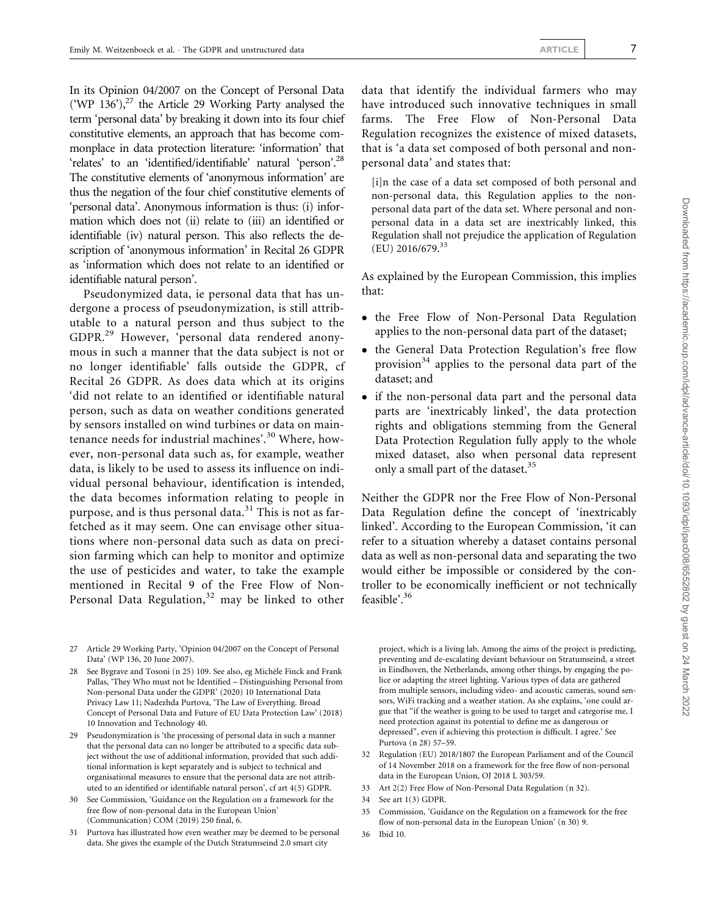In its Opinion 04/2007 on the Concept of Personal Data ('WP 136'), $^{27}$  the Article 29 Working Party analysed the term 'personal data' by breaking it down into its four chief constitutive elements, an approach that has become commonplace in data protection literature: 'information' that 'relates' to an 'identified/identifiable' natural 'person'.28 The constitutive elements of 'anonymous information' are thus the negation of the four chief constitutive elements of 'personal data'. Anonymous information is thus: (i) information which does not (ii) relate to (iii) an identified or identifiable (iv) natural person. This also reflects the description of 'anonymous information' in Recital 26 GDPR as 'information which does not relate to an identified or identifiable natural person'.

Pseudonymized data, ie personal data that has undergone a process of pseudonymization, is still attributable to a natural person and thus subject to the GDPR.<sup>29</sup> However, 'personal data rendered anonymous in such a manner that the data subject is not or no longer identifiable' falls outside the GDPR, cf Recital 26 GDPR. As does data which at its origins 'did not relate to an identified or identifiable natural person, such as data on weather conditions generated by sensors installed on wind turbines or data on maintenance needs for industrial machines'.<sup>30</sup> Where, however, non-personal data such as, for example, weather data, is likely to be used to assess its influence on individual personal behaviour, identification is intended, the data becomes information relating to people in purpose, and is thus personal data. $31$  This is not as farfetched as it may seem. One can envisage other situations where non-personal data such as data on precision farming which can help to monitor and optimize the use of pesticides and water, to take the example mentioned in Recital 9 of the Free Flow of Non-Personal Data Regulation, $32$  may be linked to other

27 Article 29 Working Party, 'Opinion 04/2007 on the Concept of Personal Data' (WP 136, 20 June 2007).

28 See Bygrave and Tosoni (n 25) 109. See also, eg Michèle Finck and Frank Pallas, 'They Who must not be Identified – Distinguishing Personal from Non-personal Data under the GDPR' (2020) 10 International Data Privacy Law 11; Nadezhda Purtova, 'The Law of Everything. Broad Concept of Personal Data and Future of EU Data Protection Law' (2018) 10 Innovation and Technology 40.

29 Pseudonymization is 'the processing of personal data in such a manner that the personal data can no longer be attributed to a specific data subject without the use of additional information, provided that such additional information is kept separately and is subject to technical and organisational measures to ensure that the personal data are not attributed to an identified or identifiable natural person', cf art 4(5) GDPR.

- See Commission, 'Guidance on the Regulation on a framework for the free flow of non-personal data in the European Union' (Communication) COM (2019) 250 final, 6.
- 31 Purtova has illustrated how even weather may be deemed to be personal data. She gives the example of the Dutch Stratumseind 2.0 smart city

data that identify the individual farmers who may have introduced such innovative techniques in small farms. The Free Flow of Non-Personal Data Regulation recognizes the existence of mixed datasets, that is 'a data set composed of both personal and nonpersonal data' and states that:

[i]n the case of a data set composed of both personal and non-personal data, this Regulation applies to the nonpersonal data part of the data set. Where personal and nonpersonal data in a data set are inextricably linked, this Regulation shall not prejudice the application of Regulation  $(EU)$  2016/679.<sup>33</sup>

As explained by the European Commission, this implies that:

- the Free Flow of Non-Personal Data Regulation applies to the non-personal data part of the dataset;
- the General Data Protection Regulation's free flow provision<sup>34</sup> applies to the personal data part of the dataset; and
- if the non-personal data part and the personal data parts are 'inextricably linked', the data protection rights and obligations stemming from the General Data Protection Regulation fully apply to the whole mixed dataset, also when personal data represent only a small part of the dataset.<sup>35</sup>

Neither the GDPR nor the Free Flow of Non-Personal Data Regulation define the concept of 'inextricably linked'. According to the European Commission, 'it can refer to a situation whereby a dataset contains personal data as well as non-personal data and separating the two would either be impossible or considered by the controller to be economically inefficient or not technically feasible'.<sup>36</sup>

project, which is a living lab. Among the aims of the project is predicting, preventing and de-escalating deviant behaviour on Stratumseind, a street in Eindhoven, the Netherlands, among other things, by engaging the police or adapting the street lighting. Various types of data are gathered from multiple sensors, including video- and acoustic cameras, sound sensors, WiFi tracking and a weather station. As she explains, 'one could argue that "if the weather is going to be used to target and categorise me, I need protection against its potential to define me as dangerous or depressed", even if achieving this protection is difficult. I agree.' See Purtova (n 28) 57–59.

- 32 Regulation (EU) 2018/1807 the European Parliament and of the Council of 14 November 2018 on a framework for the free flow of non-personal data in the European Union, OJ 2018 L 303/59.
- 33 Art 2(2) Free Flow of Non-Personal Data Regulation (n 32).
- 34 See art 1(3) GDPR.
- 35 Commission, 'Guidance on the Regulation on a framework for the free flow of non-personal data in the European Union' (n 30) 9.
- 36 Ibid 10.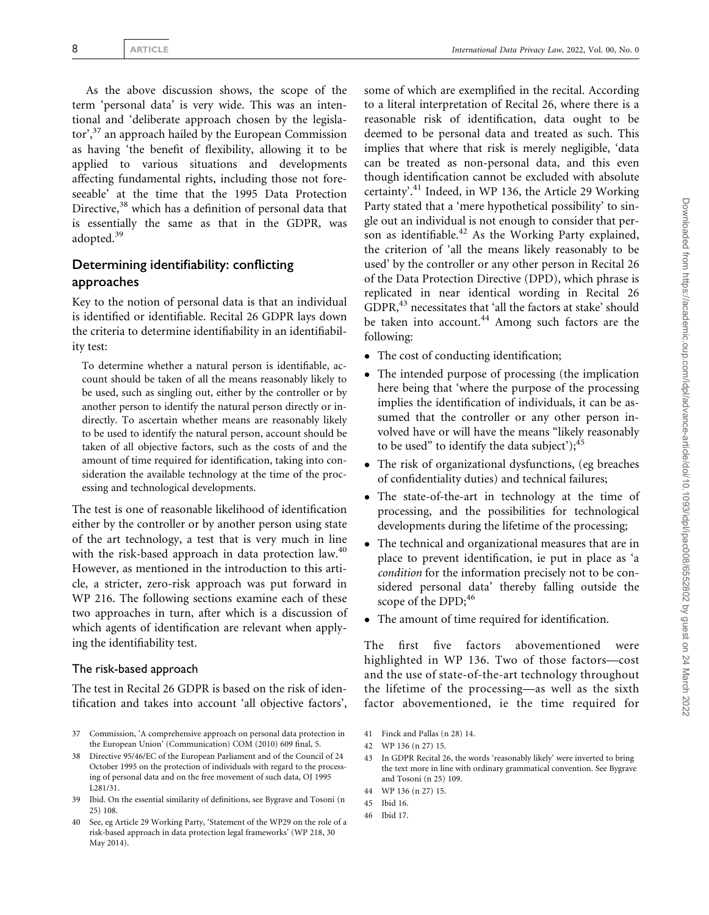As the above discussion shows, the scope of the term 'personal data' is very wide. This was an intentional and 'deliberate approach chosen by the legislator',<sup>37</sup> an approach hailed by the European Commission as having 'the benefit of flexibility, allowing it to be applied to various situations and developments affecting fundamental rights, including those not foreseeable' at the time that the 1995 Data Protection Directive,<sup>38</sup> which has a definition of personal data that is essentially the same as that in the GDPR, was adopted.<sup>39</sup>

## Determining identifiability: conflicting approaches

Key to the notion of personal data is that an individual is identified or identifiable. Recital 26 GDPR lays down the criteria to determine identifiability in an identifiability test:

To determine whether a natural person is identifiable, account should be taken of all the means reasonably likely to be used, such as singling out, either by the controller or by another person to identify the natural person directly or indirectly. To ascertain whether means are reasonably likely to be used to identify the natural person, account should be taken of all objective factors, such as the costs of and the amount of time required for identification, taking into consideration the available technology at the time of the processing and technological developments.

The test is one of reasonable likelihood of identification either by the controller or by another person using state of the art technology, a test that is very much in line with the risk-based approach in data protection law.<sup>40</sup> However, as mentioned in the introduction to this article, a stricter, zero-risk approach was put forward in WP 216. The following sections examine each of these two approaches in turn, after which is a discussion of which agents of identification are relevant when applying the identifiability test.

#### The risk-based approach

The test in Recital 26 GDPR is based on the risk of identification and takes into account 'all objective factors',

- 37 Commission, 'A comprehensive approach on personal data protection in the European Union' (Communication) COM (2010) 609 final, 5.
- 38 Directive 95/46/EC of the European Parliament and of the Council of 24 October 1995 on the protection of individuals with regard to the processing of personal data and on the free movement of such data, OJ 1995 L281/31.
- 39 Ibid. On the essential similarity of definitions, see Bygrave and Tosoni (n 25) 108.

some of which are exemplified in the recital. According to a literal interpretation of Recital 26, where there is a reasonable risk of identification, data ought to be deemed to be personal data and treated as such. This implies that where that risk is merely negligible, 'data can be treated as non-personal data, and this even though identification cannot be excluded with absolute certainty'.<sup>41</sup> Indeed, in WP 136, the Article 29 Working Party stated that a 'mere hypothetical possibility' to single out an individual is not enough to consider that person as identifiable. $42$  As the Working Party explained, the criterion of 'all the means likely reasonably to be used' by the controller or any other person in Recital 26 of the Data Protection Directive (DPD), which phrase is replicated in near identical wording in Recital 26 GDPR,43 necessitates that 'all the factors at stake' should be taken into account.<sup>44</sup> Among such factors are the following:

- The cost of conducting identification;
- The intended purpose of processing (the implication here being that 'where the purpose of the processing implies the identification of individuals, it can be assumed that the controller or any other person involved have or will have the means "likely reasonably to be used" to identify the data subject');  $45$
- $\bullet$  The risk of organizational dysfunctions, (eg breaches of confidentiality duties) and technical failures;
- The state-of-the-art in technology at the time of processing, and the possibilities for technological developments during the lifetime of the processing;
- The technical and organizational measures that are in place to prevent identification, ie put in place as 'a condition for the information precisely not to be considered personal data' thereby falling outside the scope of the DPD;<sup>46</sup>
- The amount of time required for identification.

The first five factors abovementioned were highlighted in WP 136. Two of those factors—cost and the use of state-of-the-art technology throughout the lifetime of the processing—as well as the sixth factor abovementioned, ie the time required for

- 41 Finck and Pallas (n 28) 14.
- 42 WP 136 (n 27) 15.
- 43 In GDPR Recital 26, the words 'reasonably likely' were inverted to bring the text more in line with ordinary grammatical convention. See Bygrave and Tosoni (n 25) 109.
- 44 WP 136 (n 27) 15.
- 45 Ibid 16.
- 46 Ibid 17.

See, eg Article 29 Working Party, 'Statement of the WP29 on the role of a risk-based approach in data protection legal frameworks' (WP 218, 30 May 2014).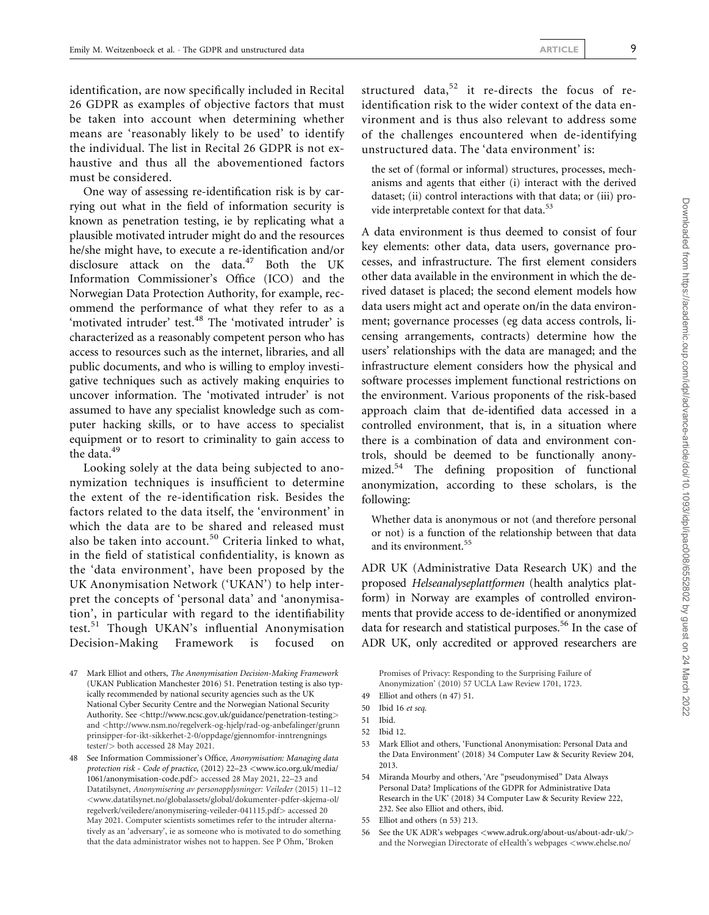identification, are now specifically included in Recital 26 GDPR as examples of objective factors that must be taken into account when determining whether means are 'reasonably likely to be used' to identify the individual. The list in Recital 26 GDPR is not exhaustive and thus all the abovementioned factors must be considered.

One way of assessing re-identification risk is by carrying out what in the field of information security is known as penetration testing, ie by replicating what a plausible motivated intruder might do and the resources he/she might have, to execute a re-identification and/or disclosure attack on the data.<sup>47</sup> Both the UK Information Commissioner's Office (ICO) and the Norwegian Data Protection Authority, for example, recommend the performance of what they refer to as a 'motivated intruder' test.<sup>48</sup> The 'motivated intruder' is characterized as a reasonably competent person who has access to resources such as the internet, libraries, and all public documents, and who is willing to employ investigative techniques such as actively making enquiries to uncover information. The 'motivated intruder' is not assumed to have any specialist knowledge such as computer hacking skills, or to have access to specialist equipment or to resort to criminality to gain access to the data.<sup>49</sup>

Looking solely at the data being subjected to anonymization techniques is insufficient to determine the extent of the re-identification risk. Besides the factors related to the data itself, the 'environment' in which the data are to be shared and released must also be taken into account.<sup>50</sup> Criteria linked to what, in the field of statistical confidentiality, is known as the 'data environment', have been proposed by the UK Anonymisation Network ('UKAN') to help interpret the concepts of 'personal data' and 'anonymisation', in particular with regard to the identifiability test.<sup>51</sup> Though UKAN's influential Anonymisation Decision-Making Framework is focused

structured data, $52$  it re-directs the focus of reidentification risk to the wider context of the data environment and is thus also relevant to address some of the challenges encountered when de-identifying unstructured data. The 'data environment' is:

the set of (formal or informal) structures, processes, mechanisms and agents that either (i) interact with the derived dataset; (ii) control interactions with that data; or (iii) provide interpretable context for that data.<sup>53</sup>

A data environment is thus deemed to consist of four key elements: other data, data users, governance processes, and infrastructure. The first element considers other data available in the environment in which the derived dataset is placed; the second element models how data users might act and operate on/in the data environment; governance processes (eg data access controls, licensing arrangements, contracts) determine how the users' relationships with the data are managed; and the infrastructure element considers how the physical and software processes implement functional restrictions on the environment. Various proponents of the risk-based approach claim that de-identified data accessed in a controlled environment, that is, in a situation where there is a combination of data and environment controls, should be deemed to be functionally anonymized.54 The defining proposition of functional anonymization, according to these scholars, is the following:

Whether data is anonymous or not (and therefore personal or not) is a function of the relationship between that data and its environment.<sup>55</sup>

ADR UK (Administrative Data Research UK) and the proposed Helseanalyseplattformen (health analytics platform) in Norway are examples of controlled environments that provide access to de-identified or anonymized data for research and statistical purposes.<sup>56</sup> In the case of ADR UK, only accredited or approved researchers are

53 Mark Elliot and others, 'Functional Anonymisation: Personal Data and the Data Environment' (2018) 34 Computer Law & Security Review 204, 2013.

<sup>47</sup> Mark Elliot and others, The Anonymisation Decision-Making Framework (UKAN Publication Manchester 2016) 51. Penetration testing is also typically recommended by national security agencies such as the UK National Cyber Security Centre and the Norwegian National Security Authority. See <<http://www.ncsc.gov.uk/guidance/penetration-testing>> and <[http://www.nsm.no/regelverk-og-hjelp/rad-og-anbefalinger/grunn](http://www.nsm.no/regelverk-og-hjelp/rad-og-anbefalinger/grunnprinsipper-for-ikt-sikkerhet-2-0/oppdage/gjennomfor-inntrengningstester/) [prinsipper-for-ikt-sikkerhet-2-0/oppdage/gjennomfor-inntrengnings](http://www.nsm.no/regelverk-og-hjelp/rad-og-anbefalinger/grunnprinsipper-for-ikt-sikkerhet-2-0/oppdage/gjennomfor-inntrengningstester/) [tester/](http://www.nsm.no/regelverk-og-hjelp/rad-og-anbefalinger/grunnprinsipper-for-ikt-sikkerhet-2-0/oppdage/gjennomfor-inntrengningstester/)> both accessed 28 May 2021.

<sup>48</sup> See Information Commissioner's Office, Anonymisation: Managing data protection risk - Code of practice, (2012) 22–23 <[www.ico.org.uk/media/](http://www.ico.org.uk/media/1061/anonymisation-code.pdf) [1061/anonymisation-code.pdf](http://www.ico.org.uk/media/1061/anonymisation-code.pdf)> accessed 28 May 2021, 22–23 and Datatilsynet, Anonymisering av personopplysninger: Veileder (2015) 11–12 <[www.datatilsynet.no/globalassets/global/dokumenter-pdfer-skjema-ol/](http://www.datatilsynet.no/globalassets/global/dokumenter-pdfer-skjema-ol/regelverk/veiledere/anonymisering-veileder-041115.pdf) [regelverk/veiledere/anonymisering-veileder-041115.pdf](http://www.datatilsynet.no/globalassets/global/dokumenter-pdfer-skjema-ol/regelverk/veiledere/anonymisering-veileder-041115.pdf)> accessed 20 May 2021. Computer scientists sometimes refer to the intruder alternatively as an 'adversary', ie as someone who is motivated to do something that the data administrator wishes not to happen. See P Ohm, 'Broken

Promises of Privacy: Responding to the Surprising Failure of Anonymization' (2010) 57 UCLA Law Review 1701, 1723.

<sup>49</sup> Elliot and others (n 47) 51.

<sup>50</sup> Ibid 16 et seq.

<sup>51</sup> Ibid.

<sup>52</sup> Ibid 12.

<sup>54</sup> Miranda Mourby and others, 'Are "pseudonymised" Data Always Personal Data? Implications of the GDPR for Administrative Data Research in the UK' (2018) 34 Computer Law & Security Review 222, 232. See also Elliot and others, ibid.

<sup>55</sup> Elliot and others (n 53) 213.

<sup>56</sup> See the UK ADR's webpages <[www.adruk.org/about-us/about-adr-uk/](http://www.adruk.org/about-us/about-adr-uk/)> and the Norwegian Directorate of eHealth's webpages <[www.ehelse.no/](http://www.ehelse.no/programmer/helsedataprogrammet/helseanalyseplattformen)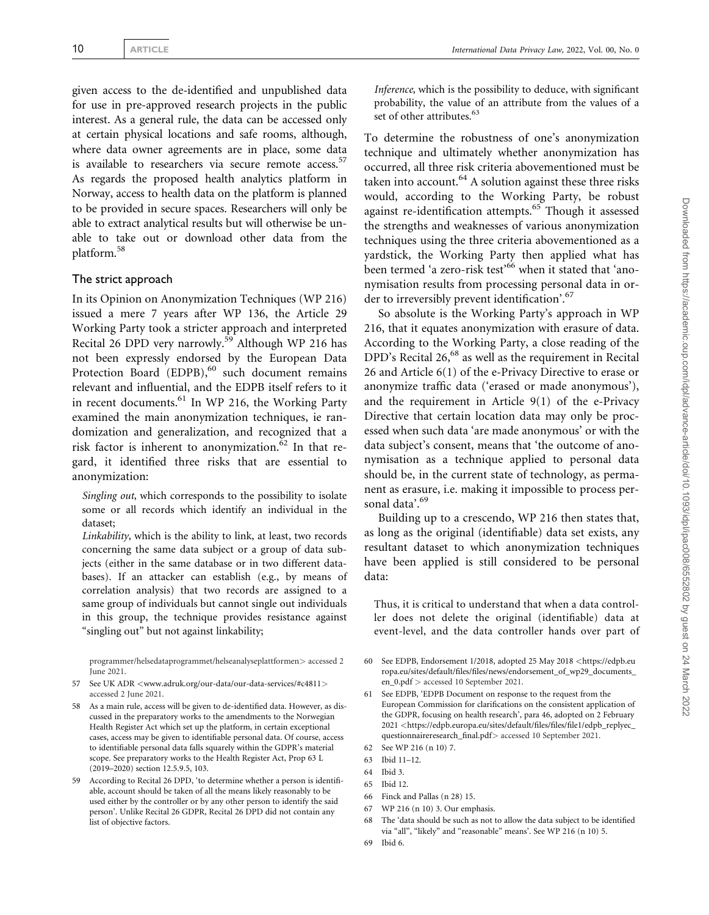given access to the de-identified and unpublished data for use in pre-approved research projects in the public interest. As a general rule, the data can be accessed only at certain physical locations and safe rooms, although, where data owner agreements are in place, some data is available to researchers via secure remote access.<sup>57</sup> As regards the proposed health analytics platform in Norway, access to health data on the platform is planned to be provided in secure spaces. Researchers will only be able to extract analytical results but will otherwise be unable to take out or download other data from the platform.58

#### The strict approach

In its Opinion on Anonymization Techniques (WP 216) issued a mere 7 years after WP 136, the Article 29 Working Party took a stricter approach and interpreted Recital 26 DPD very narrowly.<sup>59</sup> Although WP 216 has not been expressly endorsed by the European Data Protection Board (EDPB),<sup>60</sup> such document remains relevant and influential, and the EDPB itself refers to it in recent documents.<sup>61</sup> In WP 216, the Working Party examined the main anonymization techniques, ie randomization and generalization, and recognized that a risk factor is inherent to anonymization. $62$  In that regard, it identified three risks that are essential to anonymization:

Singling out, which corresponds to the possibility to isolate some or all records which identify an individual in the dataset;

Linkability, which is the ability to link, at least, two records concerning the same data subject or a group of data subjects (either in the same database or in two different databases). If an attacker can establish (e.g., by means of correlation analysis) that two records are assigned to a same group of individuals but cannot single out individuals in this group, the technique provides resistance against "singling out" but not against linkability;

[programmer/helsedataprogrammet/helseanalyseplattformen](http://www.ehelse.no/programmer/helsedataprogrammet/helseanalyseplattformen)> accessed 2 June 2021.

- 57 See UK ADR <[www.adruk.org/our-data/our-data-services/#c4811](http://www.adruk.org/our-data/our-data-services/#c4811)> accessed 2 June 2021.
- 58 As a main rule, access will be given to de-identified data. However, as discussed in the preparatory works to the amendments to the Norwegian Health Register Act which set up the platform, in certain exceptional cases, access may be given to identifiable personal data. Of course, access to identifiable personal data falls squarely within the GDPR's material scope. See preparatory works to the Health Register Act, Prop 63 L (2019–2020) section 12.5.9.5, 103.
- 59 According to Recital 26 DPD, 'to determine whether a person is identifiable, account should be taken of all the means likely reasonably to be used either by the controller or by any other person to identify the said person'. Unlike Recital 26 GDPR, Recital 26 DPD did not contain any list of objective factors.

Inference, which is the possibility to deduce, with significant probability, the value of an attribute from the values of a set of other attributes.<sup>63</sup>

To determine the robustness of one's anonymization technique and ultimately whether anonymization has occurred, all three risk criteria abovementioned must be taken into account.<sup>64</sup> A solution against these three risks would, according to the Working Party, be robust against re-identification attempts.<sup>65</sup> Though it assessed the strengths and weaknesses of various anonymization techniques using the three criteria abovementioned as a yardstick, the Working Party then applied what has been termed 'a zero-risk test<sup>66</sup> when it stated that 'anonymisation results from processing personal data in order to irreversibly prevent identification'.<sup>67</sup>

So absolute is the Working Party's approach in WP 216, that it equates anonymization with erasure of data. According to the Working Party, a close reading of the DPD's Recital 26,<sup>68</sup> as well as the requirement in Recital 26 and Article 6(1) of the e-Privacy Directive to erase or anonymize traffic data ('erased or made anonymous'), and the requirement in Article  $9(1)$  of the e-Privacy Directive that certain location data may only be processed when such data 'are made anonymous' or with the data subject's consent, means that 'the outcome of anonymisation as a technique applied to personal data should be, in the current state of technology, as permanent as erasure, i.e. making it impossible to process personal data'.<sup>69</sup>

Building up to a crescendo, WP 216 then states that, as long as the original (identifiable) data set exists, any resultant dataset to which anonymization techniques have been applied is still considered to be personal data:

Thus, it is critical to understand that when a data controller does not delete the original (identifiable) data at event-level, and the data controller hands over part of

- 60 See EDPB, Endorsement 1/2018, adopted 25 May 2018 <[https://edpb.eu](https://edpb.europa.eu/sites/default/files/files/news/endorsement_of_wp29_documents_en_0.pdf) [ropa.eu/sites/default/files/files/news/endorsement\\_of\\_wp29\\_documents\\_](https://edpb.europa.eu/sites/default/files/files/news/endorsement_of_wp29_documents_en_0.pdf) [en\\_0.pdf](https://edpb.europa.eu/sites/default/files/files/news/endorsement_of_wp29_documents_en_0.pdf) > accessed 10 September 2021.
- 61 See EDPB, 'EDPB Document on response to the request from the European Commission for clarifications on the consistent application of the GDPR, focusing on health research', para 46, adopted on 2 February 2021 <[https://edpb.europa.eu/sites/default/files/files/file1/edpb\\_replyec\\_](https://edpb.europa.eu/sites/default/files/files/file1/edpb_replyec_questionnaireresearch_final.pdf) [questionnaireresearch\\_final.pdf](https://edpb.europa.eu/sites/default/files/files/file1/edpb_replyec_questionnaireresearch_final.pdf)> accessed 10 September 2021.
- 62 See WP 216 (n 10) 7.
- 63 Ibid 11–12.
- 64 Ibid 3.
- 65 Ibid 12.
- 66 Finck and Pallas (n 28) 15.
- 67 WP 216 (n 10) 3. Our emphasis.
- 68 The 'data should be such as not to allow the data subject to be identified via "all", "likely" and "reasonable" means'. See WP 216 (n 10) 5.
- 69 Ibid 6.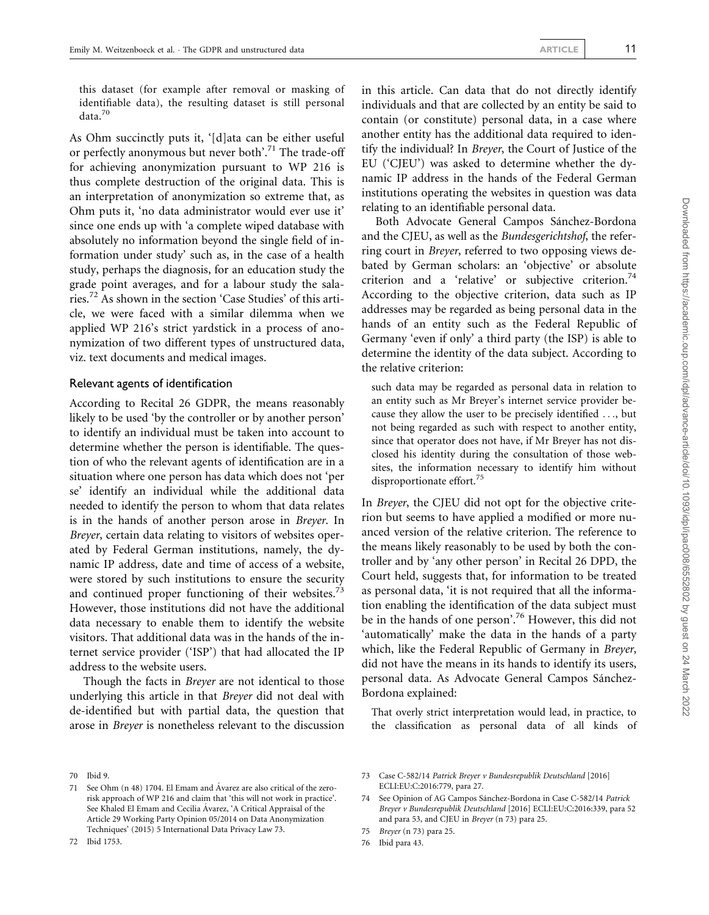Downloaded from https://academic.oup.com/idpl/advance-article/doi/10.1093/idpl/ipac008/6552802 by guest on 24 March 2022 Downloaded from https://academic.oup.com/idpl/advance-article/doi/10.1093/idpl/ipac008/6552802 by guest on 24 March 2022

this dataset (for example after removal or masking of identifiable data), the resulting dataset is still personal  $\text{data.}^{70}$ 

As Ohm succinctly puts it, '[d]ata can be either useful or perfectly anonymous but never both'.71 The trade-off for achieving anonymization pursuant to WP 216 is thus complete destruction of the original data. This is an interpretation of anonymization so extreme that, as Ohm puts it, 'no data administrator would ever use it' since one ends up with 'a complete wiped database with absolutely no information beyond the single field of information under study' such as, in the case of a health study, perhaps the diagnosis, for an education study the grade point averages, and for a labour study the salaries.72 As shown in the section 'Case Studies' of this article, we were faced with a similar dilemma when we applied WP 216's strict yardstick in a process of anonymization of two different types of unstructured data, viz. text documents and medical images.

#### Relevant agents of identification

According to Recital 26 GDPR, the means reasonably likely to be used 'by the controller or by another person' to identify an individual must be taken into account to determine whether the person is identifiable. The question of who the relevant agents of identification are in a situation where one person has data which does not 'per se' identify an individual while the additional data needed to identify the person to whom that data relates is in the hands of another person arose in Breyer. In Breyer, certain data relating to visitors of websites operated by Federal German institutions, namely, the dynamic IP address, date and time of access of a website, were stored by such institutions to ensure the security and continued proper functioning of their websites.<sup>73</sup> However, those institutions did not have the additional data necessary to enable them to identify the website visitors. That additional data was in the hands of the internet service provider ('ISP') that had allocated the IP address to the website users.

Though the facts in Breyer are not identical to those underlying this article in that Breyer did not deal with de-identified but with partial data, the question that arose in Breyer is nonetheless relevant to the discussion in this article. Can data that do not directly identify individuals and that are collected by an entity be said to contain (or constitute) personal data, in a case where another entity has the additional data required to identify the individual? In Breyer, the Court of Justice of the EU ('CJEU') was asked to determine whether the dynamic IP address in the hands of the Federal German institutions operating the websites in question was data relating to an identifiable personal data.

Both Advocate General Campos Sánchez-Bordona and the CJEU, as well as the Bundesgerichtshof, the referring court in Breyer, referred to two opposing views debated by German scholars: an 'objective' or absolute criterion and a 'relative' or subjective criterion.<sup>74</sup> According to the objective criterion, data such as IP addresses may be regarded as being personal data in the hands of an entity such as the Federal Republic of Germany 'even if only' a third party (the ISP) is able to determine the identity of the data subject. According to the relative criterion:

such data may be regarded as personal data in relation to an entity such as Mr Breyer's internet service provider because they allow the user to be precisely identified ..., but not being regarded as such with respect to another entity, since that operator does not have, if Mr Breyer has not disclosed his identity during the consultation of those websites, the information necessary to identify him without disproportionate effort.<sup>75</sup>

In Breyer, the CJEU did not opt for the objective criterion but seems to have applied a modified or more nuanced version of the relative criterion. The reference to the means likely reasonably to be used by both the controller and by 'any other person' in Recital 26 DPD, the Court held, suggests that, for information to be treated as personal data, 'it is not required that all the information enabling the identification of the data subject must be in the hands of one person'.<sup>76</sup> However, this did not 'automatically' make the data in the hands of a party which, like the Federal Republic of Germany in Breyer, did not have the means in its hands to identify its users, personal data. As Advocate General Campos Sánchez-Bordona explained:

That overly strict interpretation would lead, in practice, to the classification as personal data of all kinds of

72 Ibid 1753.

<sup>70</sup> Ibid 9.

<sup>71</sup> See Ohm (n 48) 1704. El Emam and Ávarez are also critical of the zerorisk approach of WP 216 and claim that 'this will not work in practice'. See Khaled El Emam and Cecilia Ávarez, 'A Critical Appraisal of the Article 29 Working Party Opinion 05/2014 on Data Anonymization Techniques' (2015) 5 International Data Privacy Law 73.

<sup>73</sup> Case C-582/14 Patrick Breyer v Bundesrepublik Deutschland [2016] ECLI:EU:C:2016:779, para 27.

<sup>74</sup> See Opinion of AG Campos Sánchez-Bordona in Case C-582/14 Patrick Breyer v Bundesrepublik Deutschland [2016] ECLI:EU:C:2016:339, para 52 and para 53, and CJEU in Breyer (n 73) para 25.

<sup>75</sup> Breyer (n 73) para 25.

<sup>76</sup> Ibid para 43.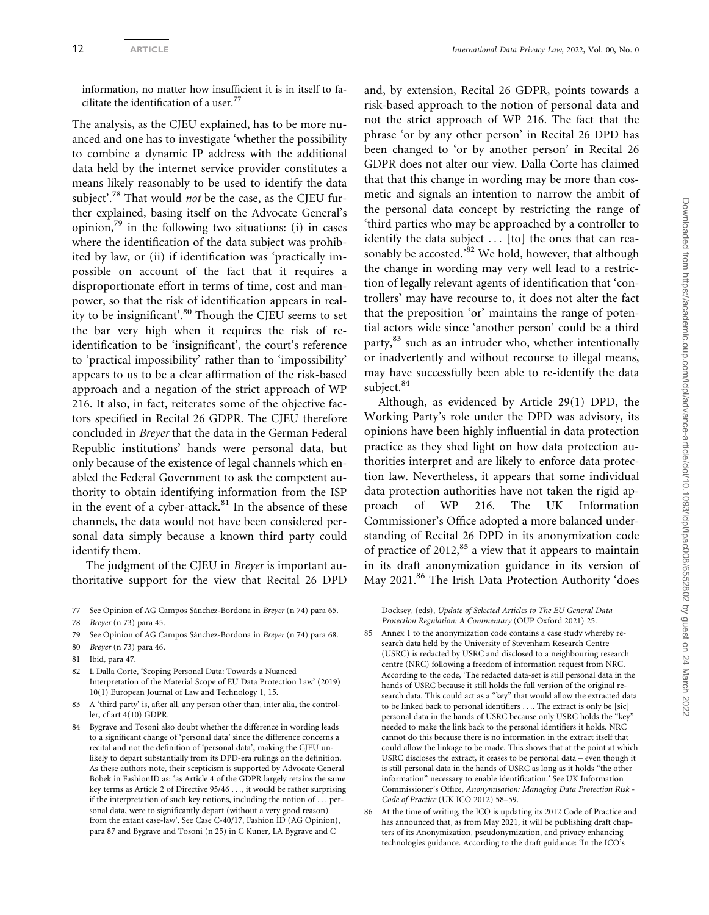information, no matter how insufficient it is in itself to facilitate the identification of a user. $77$ 

The analysis, as the CJEU explained, has to be more nuanced and one has to investigate 'whether the possibility to combine a dynamic IP address with the additional data held by the internet service provider constitutes a means likely reasonably to be used to identify the data subject'.<sup>78</sup> That would *not* be the case, as the CJEU further explained, basing itself on the Advocate General's opinion, $^{79}$  in the following two situations: (i) in cases where the identification of the data subject was prohibited by law, or (ii) if identification was 'practically impossible on account of the fact that it requires a disproportionate effort in terms of time, cost and manpower, so that the risk of identification appears in reality to be insignificant'.<sup>80</sup> Though the CJEU seems to set the bar very high when it requires the risk of reidentification to be 'insignificant', the court's reference to 'practical impossibility' rather than to 'impossibility' appears to us to be a clear affirmation of the risk-based approach and a negation of the strict approach of WP 216. It also, in fact, reiterates some of the objective factors specified in Recital 26 GDPR. The CJEU therefore concluded in Breyer that the data in the German Federal Republic institutions' hands were personal data, but only because of the existence of legal channels which enabled the Federal Government to ask the competent authority to obtain identifying information from the ISP in the event of a cyber-attack. $81$  In the absence of these channels, the data would not have been considered personal data simply because a known third party could identify them.

The judgment of the CJEU in *Breyer* is important authoritative support for the view that Recital 26 DPD

78 Breyer (n 73) para 45.

- 80 Breyer (n 73) para 46.
- 81 Ibid, para 47.
- 82 L Dalla Corte, 'Scoping Personal Data: Towards a Nuanced Interpretation of the Material Scope of EU Data Protection Law' (2019) 10(1) European Journal of Law and Technology 1, 15.
- 83 A 'third party' is, after all, any person other than, inter alia, the controller, cf art 4(10) GDPR.
- 84 Bygrave and Tosoni also doubt whether the difference in wording leads to a significant change of 'personal data' since the difference concerns a recital and not the definition of 'personal data', making the CJEU unlikely to depart substantially from its DPD-era rulings on the definition. As these authors note, their scepticism is supported by Advocate General Bobek in FashionID as: 'as Article 4 of the GDPR largely retains the same key terms as Article 2 of Directive 95/46 ..., it would be rather surprising if the interpretation of such key notions, including the notion of ... personal data, were to significantly depart (without a very good reason) from the extant case-law'. See Case C-40/17, Fashion ID (AG Opinion), para 87 and Bygrave and Tosoni (n 25) in C Kuner, LA Bygrave and C

and, by extension, Recital 26 GDPR, points towards a risk-based approach to the notion of personal data and not the strict approach of WP 216. The fact that the phrase 'or by any other person' in Recital 26 DPD has been changed to 'or by another person' in Recital 26 GDPR does not alter our view. Dalla Corte has claimed that that this change in wording may be more than cosmetic and signals an intention to narrow the ambit of the personal data concept by restricting the range of 'third parties who may be approached by a controller to identify the data subject ... [to] the ones that can reasonably be accosted.<sup>82</sup> We hold, however, that although the change in wording may very well lead to a restriction of legally relevant agents of identification that 'controllers' may have recourse to, it does not alter the fact that the preposition 'or' maintains the range of potential actors wide since 'another person' could be a third party,<sup>83</sup> such as an intruder who, whether intentionally or inadvertently and without recourse to illegal means, may have successfully been able to re-identify the data subject.<sup>84</sup>

Although, as evidenced by Article 29(1) DPD, the Working Party's role under the DPD was advisory, its opinions have been highly influential in data protection practice as they shed light on how data protection authorities interpret and are likely to enforce data protection law. Nevertheless, it appears that some individual data protection authorities have not taken the rigid approach of WP 216. The UK Information Commissioner's Office adopted a more balanced understanding of Recital 26 DPD in its anonymization code of practice of  $2012$ ,  $85$  a view that it appears to maintain in its draft anonymization guidance in its version of May 2021.<sup>86</sup> The Irish Data Protection Authority 'does

Docksey, (eds), Update of Selected Articles to The EU General Data Protection Regulation: A Commentary (OUP Oxford 2021) 25.

- 85 Annex 1 to the anonymization code contains a case study whereby research data held by the University of Stevenham Research Centre (USRC) is redacted by USRC and disclosed to a neighbouring research centre (NRC) following a freedom of information request from NRC. According to the code, 'The redacted data-set is still personal data in the hands of USRC because it still holds the full version of the original research data. This could act as a "key" that would allow the extracted data to be linked back to personal identifiers .... The extract is only be [sic] personal data in the hands of USRC because only USRC holds the "key" needed to make the link back to the personal identifiers it holds. NRC cannot do this because there is no information in the extract itself that could allow the linkage to be made. This shows that at the point at which USRC discloses the extract, it ceases to be personal data – even though it is still personal data in the hands of USRC as long as it holds "the other information" necessary to enable identification.' See UK Information Commissioner's Office, Anonymisation: Managing Data Protection Risk - Code of Practice (UK ICO 2012) 58–59.
- 86 At the time of writing, the ICO is updating its 2012 Code of Practice and has announced that, as from May 2021, it will be publishing draft chapters of its Anonymization, pseudonymization, and privacy enhancing technologies guidance. According to the draft guidance: 'In the ICO's

<sup>77</sup> See Opinion of AG Campos Sánchez-Bordona in Breyer (n 74) para 65.

<sup>79</sup> See Opinion of AG Campos Sánchez-Bordona in Breyer (n 74) para 68.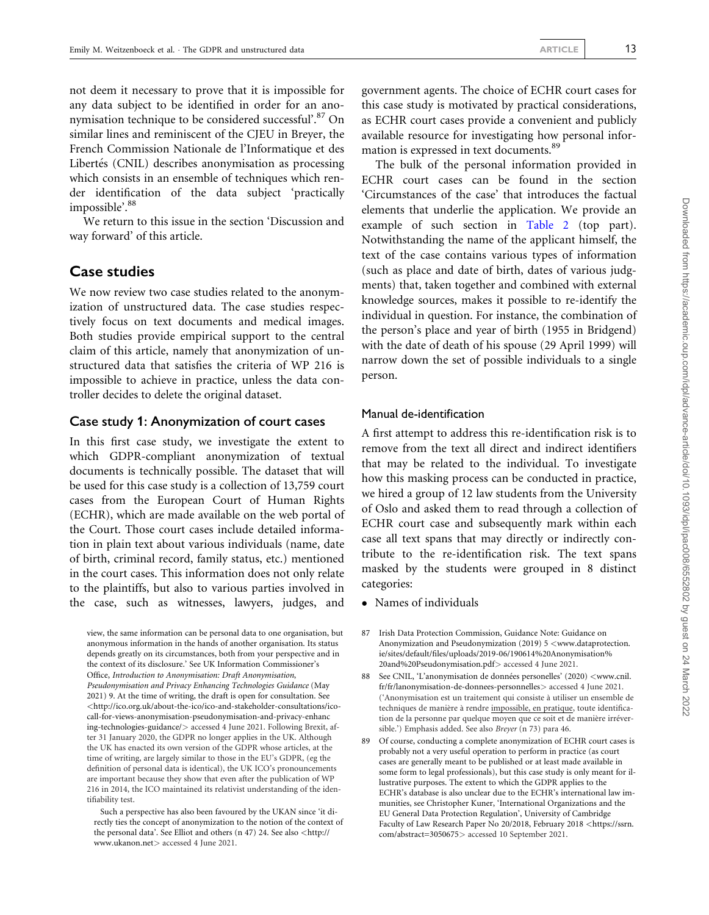not deem it necessary to prove that it is impossible for any data subject to be identified in order for an anonymisation technique to be considered successful'.<sup>87</sup> On similar lines and reminiscent of the CJEU in Breyer, the French Commission Nationale de l'Informatique et des Libertés (CNIL) describes anonymisation as processing which consists in an ensemble of techniques which render identification of the data subject 'practically impossible'.<sup>88</sup>

We return to this issue in the section 'Discussion and way forward' of this article.

#### Case studies

We now review two case studies related to the anonymization of unstructured data. The case studies respectively focus on text documents and medical images. Both studies provide empirical support to the central claim of this article, namely that anonymization of unstructured data that satisfies the criteria of WP 216 is impossible to achieve in practice, unless the data controller decides to delete the original dataset.

#### Case study 1: Anonymization of court cases

In this first case study, we investigate the extent to which GDPR-compliant anonymization of textual documents is technically possible. The dataset that will be used for this case study is a collection of 13,759 court cases from the European Court of Human Rights (ECHR), which are made available on the web portal of the Court. Those court cases include detailed information in plain text about various individuals (name, date of birth, criminal record, family status, etc.) mentioned in the court cases. This information does not only relate to the plaintiffs, but also to various parties involved in the case, such as witnesses, lawyers, judges, and government agents. The choice of ECHR court cases for this case study is motivated by practical considerations, as ECHR court cases provide a convenient and publicly available resource for investigating how personal information is expressed in text documents.<sup>89</sup>

The bulk of the personal information provided in ECHR court cases can be found in the section 'Circumstances of the case' that introduces the factual elements that underlie the application. We provide an example of such section in [Table 2](#page-13-0) (top part). Notwithstanding the name of the applicant himself, the text of the case contains various types of information (such as place and date of birth, dates of various judgments) that, taken together and combined with external knowledge sources, makes it possible to re-identify the individual in question. For instance, the combination of the person's place and year of birth (1955 in Bridgend) with the date of death of his spouse (29 April 1999) will narrow down the set of possible individuals to a single person.

#### Manual de-identification

A first attempt to address this re-identification risk is to remove from the text all direct and indirect identifiers that may be related to the individual. To investigate how this masking process can be conducted in practice, we hired a group of 12 law students from the University of Oslo and asked them to read through a collection of ECHR court case and subsequently mark within each case all text spans that may directly or indirectly contribute to the re-identification risk. The text spans masked by the students were grouped in 8 distinct categories:

- Names of individuals

87 Irish Data Protection Commission, Guidance Note: Guidance on Anonymization and Pseudonymization (2019) 5 <[www.dataprotection.](http://www.dataprotection.ie/sites/default/files/uploads/2019-06/190614%20Anonymisation%20and%20Pseudonymisation.pdf) [ie/sites/default/files/uploads/2019-06/190614%20Anonymisation%](http://www.dataprotection.ie/sites/default/files/uploads/2019-06/190614%20Anonymisation%20and%20Pseudonymisation.pdf) [20and%20Pseudonymisation.pdf](http://www.dataprotection.ie/sites/default/files/uploads/2019-06/190614%20Anonymisation%20and%20Pseudonymisation.pdf)> accessed 4 June 2021.

- 88 See CNIL, 'L'anonymisation de données personelles' (2020) <[www.cnil.](http://www.cnil.fr/fr/lanonymisation-de-donnees-personnelles) [fr/fr/lanonymisation-de-donnees-personnelles](http://www.cnil.fr/fr/lanonymisation-de-donnees-personnelles)> accessed 4 June 2021. ('Anonymisation est un traitement qui consiste a` utiliser un ensemble de techniques de manière à rendre impossible, en pratique, toute identification de la personne par quelque moyen que ce soit et de manière irréversible.') Emphasis added. See also Breyer (n 73) para 46.
- 89 Of course, conducting a complete anonymization of ECHR court cases is probably not a very useful operation to perform in practice (as court cases are generally meant to be published or at least made available in some form to legal professionals), but this case study is only meant for illustrative purposes. The extent to which the GDPR applies to the ECHR's database is also unclear due to the ECHR's international law immunities, see Christopher Kuner, 'International Organizations and the EU General Data Protection Regulation', University of Cambridge Faculty of Law Research Paper No 20/2018, February 2018 <[https://ssrn.](https://ssrn.com/abstract=3050675) [com/abstract=3050675](https://ssrn.com/abstract=3050675)> accessed 10 September 2021.

view, the same information can be personal data to one organisation, but anonymous information in the hands of another organisation. Its status depends greatly on its circumstances, both from your perspective and in the context of its disclosure.' See UK Information Commissioner's Office, Introduction to Anonymisation: Draft Anonymisation, Pseudonymisation and Privacy Enhancing Technologies Guidance (May 2021) 9. At the time of writing, the draft is open for consultation. See <[http://ico.org.uk/about-the-ico/ico-and-stakeholder-consultations/ico](http://ico.org.uk/about-the-ico/ico-and-stakeholder-consultations/ico-call-for-views-anonymisation-pseudonymisation-and-privacy-enhancing-technologies-guidance/)[call-for-views-anonymisation-pseudonymisation-and-privacy-enhanc](http://ico.org.uk/about-the-ico/ico-and-stakeholder-consultations/ico-call-for-views-anonymisation-pseudonymisation-and-privacy-enhancing-technologies-guidance/) [ing-technologies-guidance/](http://ico.org.uk/about-the-ico/ico-and-stakeholder-consultations/ico-call-for-views-anonymisation-pseudonymisation-and-privacy-enhancing-technologies-guidance/)> accessed 4 June 2021. Following Brexit, after 31 January 2020, the GDPR no longer applies in the UK. Although the UK has enacted its own version of the GDPR whose articles, at the time of writing, are largely similar to those in the EU's GDPR, (eg the definition of personal data is identical), the UK ICO's pronouncements are important because they show that even after the publication of WP 216 in 2014, the ICO maintained its relativist understanding of the identifiability test.

Such a perspective has also been favoured by the UKAN since 'it directly ties the concept of anonymization to the notion of the context of the personal data'. See Elliot and others (n 47) 24. See also <[http://](http://www.ukanon.net) [www.ukanon.net](http://www.ukanon.net)> accessed 4 June 2021.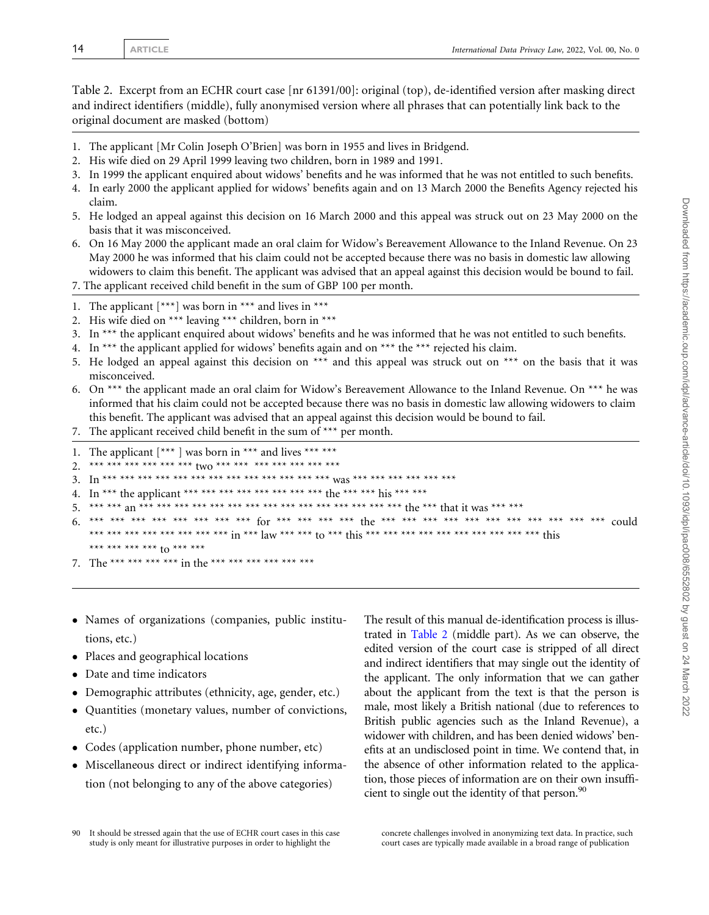<span id="page-13-0"></span>Table 2. Excerpt from an ECHR court case [nr 61391/00]: original (top), de-identified version after masking direct and indirect identifiers (middle), fully anonymised version where all phrases that can potentially link back to the original document are masked (bottom)

- 1. The applicant [Mr Colin Joseph O'Brien] was born in 1955 and lives in Bridgend.
- 2. His wife died on 29 April 1999 leaving two children, born in 1989 and 1991.
- 3. In 1999 the applicant enquired about widows' benefits and he was informed that he was not entitled to such benefits.
- 4. In early 2000 the applicant applied for widows' benefits again and on 13 March 2000 the Benefits Agency rejected his claim.
- 5. He lodged an appeal against this decision on 16 March 2000 and this appeal was struck out on 23 May 2000 on the basis that it was misconceived.
- 6. On 16 May 2000 the applicant made an oral claim for Widow's Bereavement Allowance to the Inland Revenue. On 23 May 2000 he was informed that his claim could not be accepted because there was no basis in domestic law allowing widowers to claim this benefit. The applicant was advised that an appeal against this decision would be bound to fail.
- 7. The applicant received child benefit in the sum of GBP 100 per month.
- 1. The applicant  $[***]$  was born in \*\*\* and lives in \*\*\*
- 2. His wife died on \*\*\* leaving \*\*\* children, born in \*\*\*
- 3. In \*\*\* the applicant enquired about widows' benefits and he was informed that he was not entitled to such benefits.
- 4. In \*\*\* the applicant applied for widows' benefits again and on \*\*\* the \*\*\* rejected his claim.
- 5. He lodged an appeal against this decision on  $***$  and this appeal was struck out on  $***$  on the basis that it was misconceived.
- 6. On \*\*\* the applicant made an oral claim for Widow's Bereavement Allowance to the Inland Revenue. On \*\*\* he was informed that his claim could not be accepted because there was no basis in domestic law allowing widowers to claim this benefit. The applicant was advised that an appeal against this decision would be bound to fail.
- 7. The applicant received child benefit in the sum of \*\*\* per month.
- 1. The applicant  $[***]$  was born in \*\*\* and lives \*\*\* \*\*\*
- 2. \*\*\* \*\*\* \*\*\* \*\*\* \*\*\* \*\*\*  $two*$  \*\*\* \*\*\* \*\*\* \*\*\* \*\*\* \*\*\* \*\*\*
- 3. In \*\*\* \*\*\* \*\*\* \*\*\* \*\*\* \*\*\* \*\*\* \*\*\* \*\*\* \*\*\* \*\*\* \*\*\* \*\*\* was \*\*\* \*\*\* \*\*\* \*\*\* \*\*\* \*\*\*
- 4. In \*\*\* the applicant \*\*\* \*\*\* \*\*\* \*\*\* \*\*\* \*\*\* \*\*\* the \*\*\* \*\*\* his \*\*\* \*\*\*
- 5. \*\*\* \*\*\* an \*\*\* \*\*\* \*\*\* \*\*\* \*\*\* \*\*\* \*\*\* \*\*\* \*\*\* \*\*\* \*\*\* \*\*\* \*\*\* \*\*\* \*\*\* the \*\*\* that it was \*\*\* \*\*\*
- 6. \*\*\* \*\*\* \*\*\* \*\*\* \*\*\* \*\*\* \*\*\* \*\*\* for \*\*\* \*\*\* \*\*\* \*\*\* the \*\*\* \*\*\* \*\*\* \*\*\* \*\*\* \*\*\* \*\*\* \*\*\* \*\*\* \*\*\* \*\*\* could \*\*\* \*\*\* \*\*\* \*\*\* \*\*\* \*\*\* \*\*\* \*\*\* in \*\*\* law \*\*\* \*\*\* to \*\*\* this \*\*\* \*\*\* \*\*\* \*\*\* \*\*\* \*\*\* \*\*\* \*\*\* \*\*\* \*\*\* this \*\*\* \*\*\* \*\*\* \*\*\* to \*\*\* \*\*\*
- 7. The \*\*\* \*\*\* \*\*\* \*\*\* in the \*\*\* \*\*\* \*\*\* \*\*\* \*\*\* \*\*\*
- Names of organizations (companies, public institutions, etc.)
- Places and geographical locations
- $\bullet$ Date and time indicators
- $\bullet$ Demographic attributes (ethnicity, age, gender, etc.)
- $\bullet$  Quantities (monetary values, number of convictions, etc.)
- Codes (application number, phone number, etc)
- Miscellaneous direct or indirect identifying information (not belonging to any of the above categories)

The result of this manual de-identification process is illustrated in Table 2 (middle part). As we can observe, the edited version of the court case is stripped of all direct and indirect identifiers that may single out the identity of the applicant. The only information that we can gather about the applicant from the text is that the person is male, most likely a British national (due to references to British public agencies such as the Inland Revenue), a widower with children, and has been denied widows' benefits at an undisclosed point in time. We contend that, in the absence of other information related to the application, those pieces of information are on their own insufficient to single out the identity of that person. $90$ 

concrete challenges involved in anonymizing text data. In practice, such court cases are typically made available in a broad range of publication

<sup>90</sup> It should be stressed again that the use of ECHR court cases in this case study is only meant for illustrative purposes in order to highlight the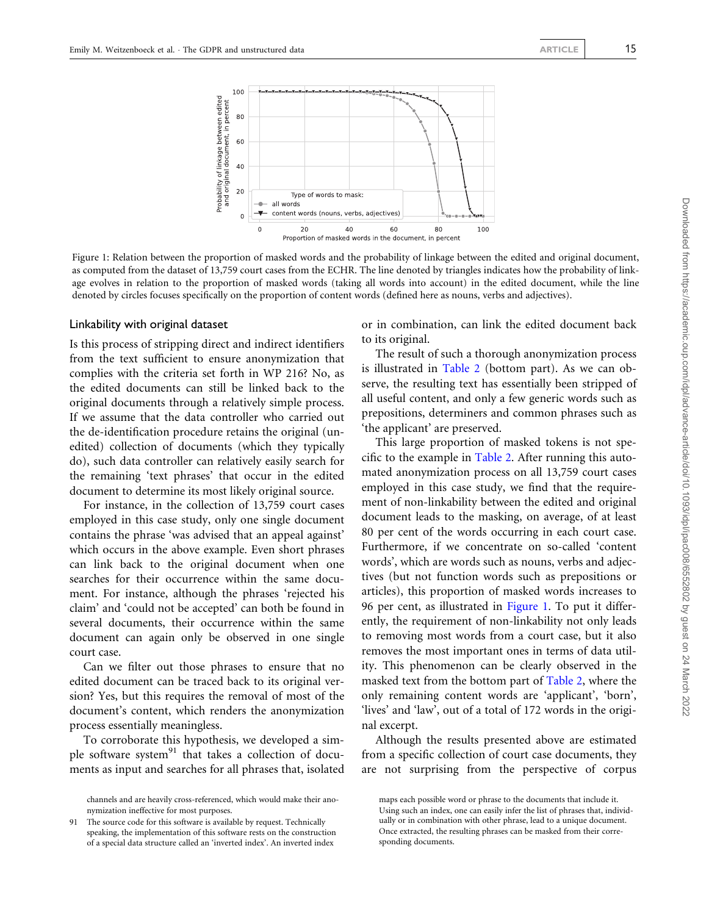

Figure 1: Relation between the proportion of masked words and the probability of linkage between the edited and original document, as computed from the dataset of 13,759 court cases from the ECHR. The line denoted by triangles indicates how the probability of linkage evolves in relation to the proportion of masked words (taking all words into account) in the edited document, while the line denoted by circles focuses specifically on the proportion of content words (defined here as nouns, verbs and adjectives).

#### Linkability with original dataset

Is this process of stripping direct and indirect identifiers from the text sufficient to ensure anonymization that complies with the criteria set forth in WP 216? No, as the edited documents can still be linked back to the original documents through a relatively simple process. If we assume that the data controller who carried out the de-identification procedure retains the original (unedited) collection of documents (which they typically do), such data controller can relatively easily search for the remaining 'text phrases' that occur in the edited document to determine its most likely original source.

For instance, in the collection of 13,759 court cases employed in this case study, only one single document contains the phrase 'was advised that an appeal against' which occurs in the above example. Even short phrases can link back to the original document when one searches for their occurrence within the same document. For instance, although the phrases 'rejected his claim' and 'could not be accepted' can both be found in several documents, their occurrence within the same document can again only be observed in one single court case.

Can we filter out those phrases to ensure that no edited document can be traced back to its original version? Yes, but this requires the removal of most of the document's content, which renders the anonymization process essentially meaningless.

To corroborate this hypothesis, we developed a simple software system<sup>91</sup> that takes a collection of documents as input and searches for all phrases that, isolated or in combination, can link the edited document back to its original.

The result of such a thorough anonymization process is illustrated in [Table 2](#page-13-0) (bottom part). As we can observe, the resulting text has essentially been stripped of all useful content, and only a few generic words such as prepositions, determiners and common phrases such as 'the applicant' are preserved.

This large proportion of masked tokens is not specific to the example in [Table 2.](#page-13-0) After running this automated anonymization process on all 13,759 court cases employed in this case study, we find that the requirement of non-linkability between the edited and original document leads to the masking, on average, of at least 80 per cent of the words occurring in each court case. Furthermore, if we concentrate on so-called 'content words', which are words such as nouns, verbs and adjectives (but not function words such as prepositions or articles), this proportion of masked words increases to 96 per cent, as illustrated in Figure 1. To put it differently, the requirement of non-linkability not only leads to removing most words from a court case, but it also removes the most important ones in terms of data utility. This phenomenon can be clearly observed in the masked text from the bottom part of [Table 2](#page-13-0), where the only remaining content words are 'applicant', 'born', 'lives' and 'law', out of a total of 172 words in the original excerpt.

Although the results presented above are estimated from a specific collection of court case documents, they are not surprising from the perspective of corpus

channels and are heavily cross-referenced, which would make their anonymization ineffective for most purposes.

The source code for this software is available by request. Technically speaking, the implementation of this software rests on the construction of a special data structure called an 'inverted index'. An inverted index

maps each possible word or phrase to the documents that include it. Using such an index, one can easily infer the list of phrases that, individually or in combination with other phrase, lead to a unique document. Once extracted, the resulting phrases can be masked from their corresponding documents.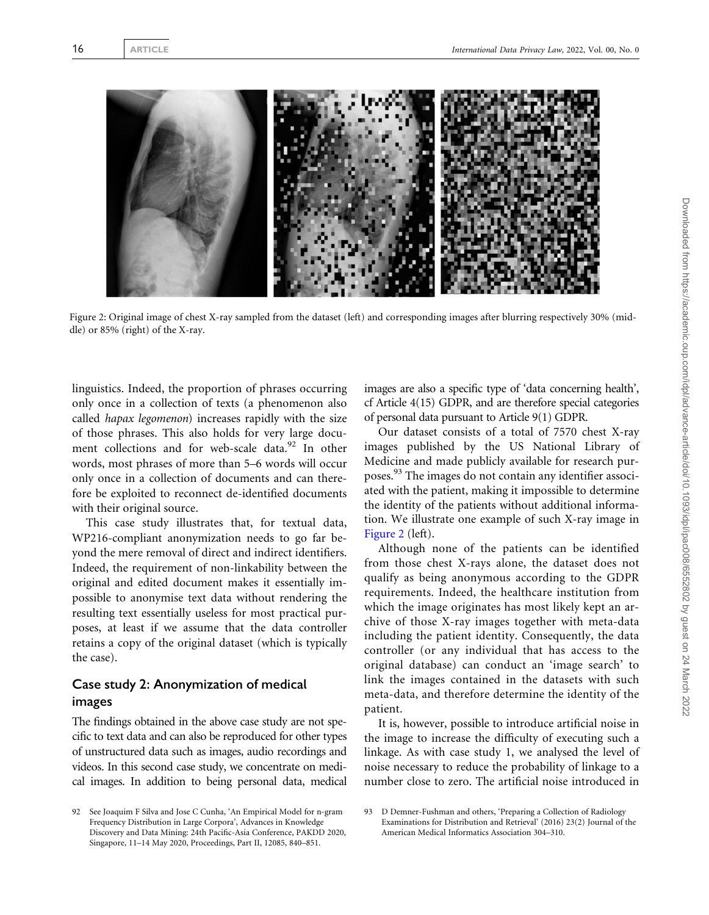<span id="page-15-0"></span>

Figure 2: Original image of chest X-ray sampled from the dataset (left) and corresponding images after blurring respectively 30% (middle) or 85% (right) of the X-ray.

linguistics. Indeed, the proportion of phrases occurring only once in a collection of texts (a phenomenon also called hapax legomenon) increases rapidly with the size of those phrases. This also holds for very large document collections and for web-scale data.<sup>92</sup> In other words, most phrases of more than 5–6 words will occur only once in a collection of documents and can therefore be exploited to reconnect de-identified documents with their original source.

This case study illustrates that, for textual data, WP216-compliant anonymization needs to go far beyond the mere removal of direct and indirect identifiers. Indeed, the requirement of non-linkability between the original and edited document makes it essentially impossible to anonymise text data without rendering the resulting text essentially useless for most practical purposes, at least if we assume that the data controller retains a copy of the original dataset (which is typically the case).

## Case study 2: Anonymization of medical images

The findings obtained in the above case study are not specific to text data and can also be reproduced for other types of unstructured data such as images, audio recordings and videos. In this second case study, we concentrate on medical images. In addition to being personal data, medical images are also a specific type of 'data concerning health', cf Article 4(15) GDPR, and are therefore special categories of personal data pursuant to Article 9(1) GDPR.

Our dataset consists of a total of 7570 chest X-ray images published by the US National Library of Medicine and made publicly available for research purposes.93 The images do not contain any identifier associated with the patient, making it impossible to determine the identity of the patients without additional information. We illustrate one example of such X-ray image in Figure 2 (left).

Although none of the patients can be identified from those chest X-rays alone, the dataset does not qualify as being anonymous according to the GDPR requirements. Indeed, the healthcare institution from which the image originates has most likely kept an archive of those X-ray images together with meta-data including the patient identity. Consequently, the data controller (or any individual that has access to the original database) can conduct an 'image search' to link the images contained in the datasets with such meta-data, and therefore determine the identity of the patient.

It is, however, possible to introduce artificial noise in the image to increase the difficulty of executing such a linkage. As with case study 1, we analysed the level of noise necessary to reduce the probability of linkage to a number close to zero. The artificial noise introduced in

<sup>92</sup> See Joaquim F Silva and Jose C Cunha, 'An Empirical Model for n-gram Frequency Distribution in Large Corpora', Advances in Knowledge Discovery and Data Mining: 24th Pacific-Asia Conference, PAKDD 2020, Singapore, 11–14 May 2020, Proceedings, Part II, 12085, 840–851.

<sup>93</sup> D Demner-Fushman and others, 'Preparing a Collection of Radiology Examinations for Distribution and Retrieval' (2016) 23(2) Journal of the American Medical Informatics Association 304–310.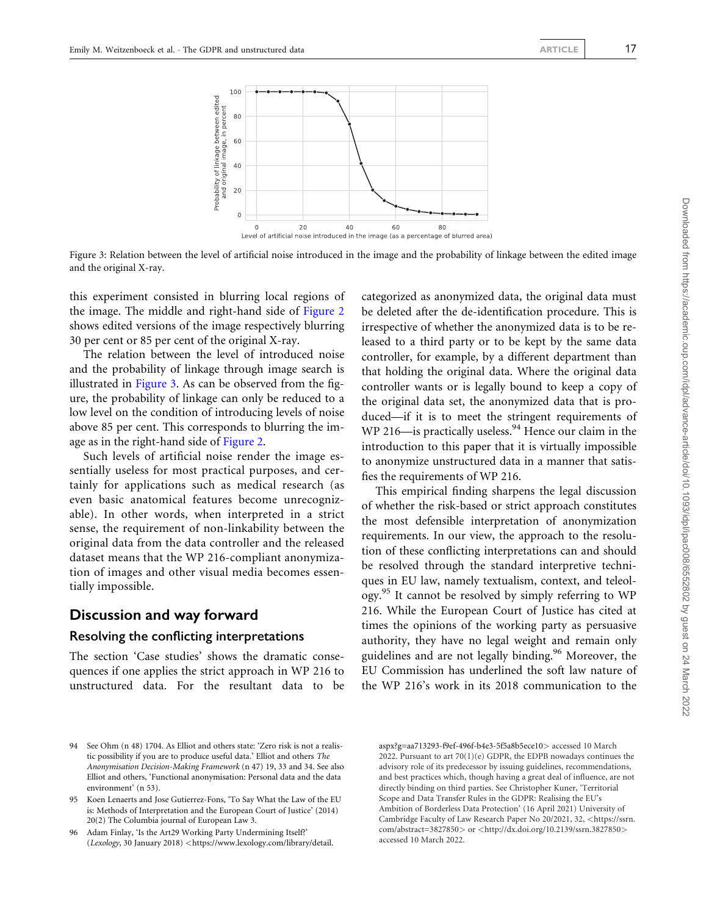

Level of artificial noise introduced in the image (as a percentage of blurred area)

Figure 3: Relation between the level of artificial noise introduced in the image and the probability of linkage between the edited image and the original X-ray.

this experiment consisted in blurring local regions of the image. The middle and right-hand side of [Figure 2](#page-15-0) shows edited versions of the image respectively blurring 30 per cent or 85 per cent of the original X-ray.

The relation between the level of introduced noise and the probability of linkage through image search is illustrated in Figure 3. As can be observed from the figure, the probability of linkage can only be reduced to a low level on the condition of introducing levels of noise above 85 per cent. This corresponds to blurring the image as in the right-hand side of [Figure 2](#page-15-0).

Such levels of artificial noise render the image essentially useless for most practical purposes, and certainly for applications such as medical research (as even basic anatomical features become unrecognizable). In other words, when interpreted in a strict sense, the requirement of non-linkability between the original data from the data controller and the released dataset means that the WP 216-compliant anonymization of images and other visual media becomes essentially impossible.

#### Discussion and way forward

#### Resolving the conflicting interpretations

The section 'Case studies' shows the dramatic consequences if one applies the strict approach in WP 216 to unstructured data. For the resultant data to be categorized as anonymized data, the original data must be deleted after the de-identification procedure. This is irrespective of whether the anonymized data is to be released to a third party or to be kept by the same data controller, for example, by a different department than that holding the original data. Where the original data controller wants or is legally bound to keep a copy of the original data set, the anonymized data that is produced—if it is to meet the stringent requirements of WP 216—is practically useless. $94$  Hence our claim in the introduction to this paper that it is virtually impossible to anonymize unstructured data in a manner that satisfies the requirements of WP 216.

This empirical finding sharpens the legal discussion of whether the risk-based or strict approach constitutes the most defensible interpretation of anonymization requirements. In our view, the approach to the resolution of these conflicting interpretations can and should be resolved through the standard interpretive techniques in EU law, namely textualism, context, and teleology.<sup>95</sup> It cannot be resolved by simply referring to WP 216. While the European Court of Justice has cited at times the opinions of the working party as persuasive authority, they have no legal weight and remain only guidelines and are not legally binding.<sup>96</sup> Moreover, the EU Commission has underlined the soft law nature of the WP 216's work in its 2018 communication to the

<sup>94</sup> See Ohm (n 48) 1704. As Elliot and others state: 'Zero risk is not a realistic possibility if you are to produce useful data.' Elliot and others The Anonymisation Decision-Making Framework (n 47) 19, 33 and 34. See also Elliot and others, 'Functional anonymisation: Personal data and the data environment' (n 53).

<sup>95</sup> Koen Lenaerts and Jose Gutierrez-Fons, 'To Say What the Law of the EU is: Methods of Interpretation and the European Court of Justice' (2014) 20(2) The Columbia journal of European Law 3.

<sup>96</sup> Adam Finlay, 'Is the Art29 Working Party Undermining Itself?' (Lexology, 30 January 2018) <[https://www.lexology.com/library/detail.](https://www.lexology.com/library/detail.aspx?g=aa713293-f9ef-496f-b4e3-5f5a8b5ece10)

[aspx?g=aa713293-f9ef-496f-b4e3-5f5a8b5ece10](https://www.lexology.com/library/detail.aspx?g=aa713293-f9ef-496f-b4e3-5f5a8b5ece10)> accessed 10 March 2022. Pursuant to art  $70(1)(e)$  GDPR, the EDPB nowadays continues the advisory role of its predecessor by issuing guidelines, recommendations, and best practices which, though having a great deal of influence, are not directly binding on third parties. See Christopher Kuner, 'Territorial Scope and Data Transfer Rules in the GDPR: Realising the EU's Ambition of Borderless Data Protection' (16 April 2021) University of Cambridge Faculty of Law Research Paper No 20/2021, 32, <[https://ssrn.](https://ssrn.com/abstract=3827850) [com/abstract=3827850](https://ssrn.com/abstract=3827850)> or <<http://dx.doi.org/10.2139/ssrn.3827850>> accessed 10 March 2022.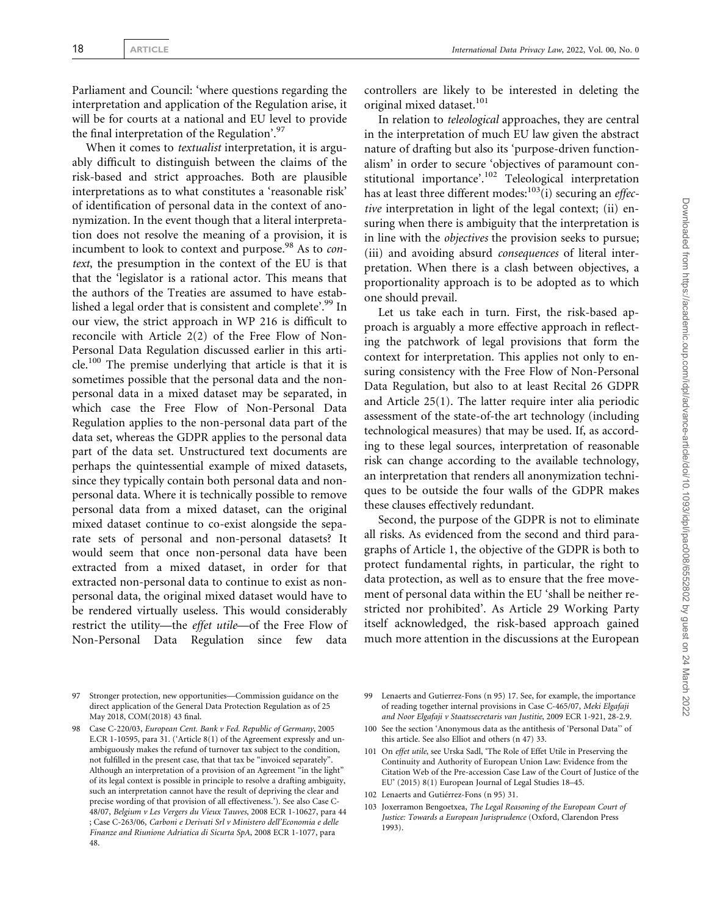Parliament and Council: 'where questions regarding the interpretation and application of the Regulation arise, it will be for courts at a national and EU level to provide the final interpretation of the Regulation'.<sup>97</sup>

When it comes to *textualist* interpretation, it is arguably difficult to distinguish between the claims of the risk-based and strict approaches. Both are plausible interpretations as to what constitutes a 'reasonable risk' of identification of personal data in the context of anonymization. In the event though that a literal interpretation does not resolve the meaning of a provision, it is incumbent to look to context and purpose.<sup>98</sup> As to *con*text, the presumption in the context of the EU is that that the 'legislator is a rational actor. This means that the authors of the Treaties are assumed to have established a legal order that is consistent and complete'.<sup>99</sup> In our view, the strict approach in WP 216 is difficult to reconcile with Article 2(2) of the Free Flow of Non-Personal Data Regulation discussed earlier in this article.100 The premise underlying that article is that it is sometimes possible that the personal data and the nonpersonal data in a mixed dataset may be separated, in which case the Free Flow of Non-Personal Data Regulation applies to the non-personal data part of the data set, whereas the GDPR applies to the personal data part of the data set. Unstructured text documents are perhaps the quintessential example of mixed datasets, since they typically contain both personal data and nonpersonal data. Where it is technically possible to remove personal data from a mixed dataset, can the original mixed dataset continue to co-exist alongside the separate sets of personal and non-personal datasets? It would seem that once non-personal data have been extracted from a mixed dataset, in order for that extracted non-personal data to continue to exist as nonpersonal data, the original mixed dataset would have to be rendered virtually useless. This would considerably restrict the utility—the effet utile—of the Free Flow of Non-Personal Data Regulation since few data

controllers are likely to be interested in deleting the original mixed dataset.<sup>101</sup>

In relation to teleological approaches, they are central in the interpretation of much EU law given the abstract nature of drafting but also its 'purpose-driven functionalism' in order to secure 'objectives of paramount constitutional importance'.<sup>102</sup> Teleological interpretation has at least three different modes:  $103$ (i) securing an effective interpretation in light of the legal context; (ii) ensuring when there is ambiguity that the interpretation is in line with the objectives the provision seeks to pursue; (iii) and avoiding absurd consequences of literal interpretation. When there is a clash between objectives, a proportionality approach is to be adopted as to which one should prevail.

Let us take each in turn. First, the risk-based approach is arguably a more effective approach in reflecting the patchwork of legal provisions that form the context for interpretation. This applies not only to ensuring consistency with the Free Flow of Non-Personal Data Regulation, but also to at least Recital 26 GDPR and Article 25(1). The latter require inter alia periodic assessment of the state-of-the art technology (including technological measures) that may be used. If, as according to these legal sources, interpretation of reasonable risk can change according to the available technology, an interpretation that renders all anonymization techniques to be outside the four walls of the GDPR makes these clauses effectively redundant.

Second, the purpose of the GDPR is not to eliminate all risks. As evidenced from the second and third paragraphs of Article 1, the objective of the GDPR is both to protect fundamental rights, in particular, the right to data protection, as well as to ensure that the free movement of personal data within the EU 'shall be neither restricted nor prohibited'. As Article 29 Working Party itself acknowledged, the risk-based approach gained much more attention in the discussions at the European

- 99 Lenaerts and Gutierrez-Fons (n 95) 17. See, for example, the importance of reading together internal provisions in Case C-465/07, Meki Elgafaji and Noor Elgafaji v Staatssecretaris van Justitie, 2009 ECR 1-921, 28-2.9.
- 100 See the section 'Anonymous data as the antithesis of 'Personal Data'' of this article. See also Elliot and others (n 47) 33.
- 101 On effet utile, see Urska Sadl, 'The Role of Effet Utile in Preserving the Continuity and Authority of European Union Law: Evidence from the Citation Web of the Pre-accession Case Law of the Court of Justice of the EU' (2015) 8(1) European Journal of Legal Studies 18–45.
- 102 Lenaerts and Gutiérrez-Fons (n 95) 31.
- 103 Joxerramon Bengoetxea, The Legal Reasoning of the European Court of Justice: Towards a European Jurisprudence (Oxford, Clarendon Press 1993).

<sup>97</sup> Stronger protection, new opportunities—Commission guidance on the direct application of the General Data Protection Regulation as of 25 May 2018, COM(2018) 43 final.

<sup>98</sup> Case C-220/03, European Cent. Bank v Fed. Republic of Germany, 2005 E.CR 1-10595, para 31. ('Article 8(1) of the Agreement expressly and unambiguously makes the refund of turnover tax subject to the condition, not fulfilled in the present case, that that tax be "invoiced separately". Although an interpretation of a provision of an Agreement "in the light" of its legal context is possible in principle to resolve a drafting ambiguity, such an interpretation cannot have the result of depriving the clear and precise wording of that provision of all effectiveness.'). See also Case C-48/07, Belgium v Les Vergers du Vieux Tauves, 2008 ECR 1-10627, para 44 ; Case C-263/06, Carboni e Derivati Srl v Ministero dell'Economia e delle Finanze and Riunione Adriatica di Sicurta SpA, 2008 ECR 1-1077, para 48.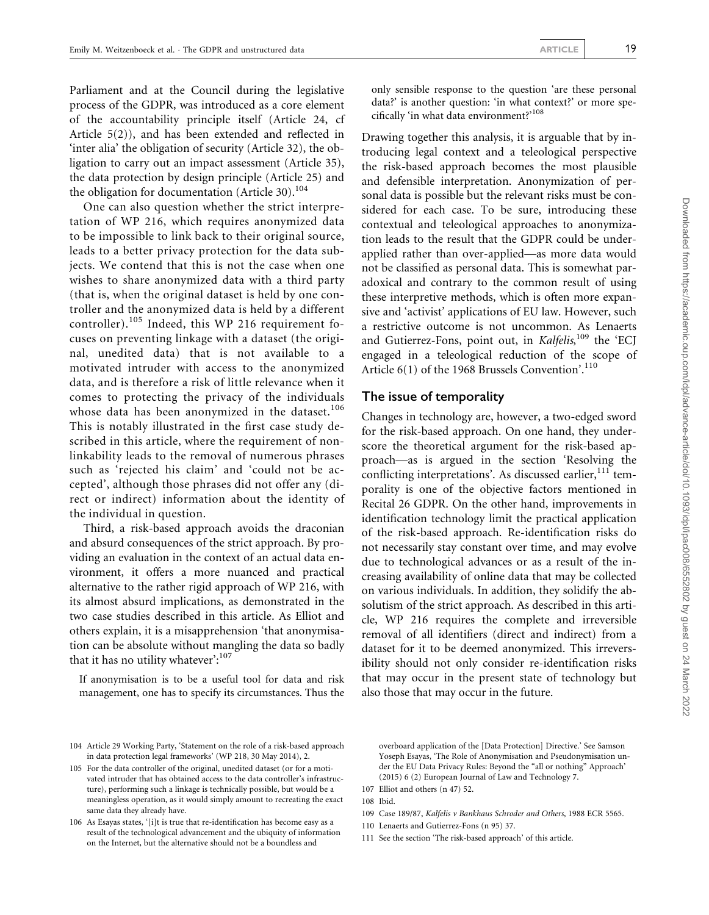Parliament and at the Council during the legislative process of the GDPR, was introduced as a core element of the accountability principle itself (Article 24, cf Article 5(2)), and has been extended and reflected in 'inter alia' the obligation of security (Article 32), the obligation to carry out an impact assessment (Article 35), the data protection by design principle (Article 25) and the obligation for documentation (Article 30).<sup>104</sup>

One can also question whether the strict interpretation of WP 216, which requires anonymized data to be impossible to link back to their original source, leads to a better privacy protection for the data subjects. We contend that this is not the case when one wishes to share anonymized data with a third party (that is, when the original dataset is held by one controller and the anonymized data is held by a different controller).<sup>105</sup> Indeed, this WP 216 requirement focuses on preventing linkage with a dataset (the original, unedited data) that is not available to a motivated intruder with access to the anonymized data, and is therefore a risk of little relevance when it comes to protecting the privacy of the individuals whose data has been anonymized in the dataset.<sup>106</sup> This is notably illustrated in the first case study described in this article, where the requirement of nonlinkability leads to the removal of numerous phrases such as 'rejected his claim' and 'could not be accepted', although those phrases did not offer any (direct or indirect) information about the identity of the individual in question.

Third, a risk-based approach avoids the draconian and absurd consequences of the strict approach. By providing an evaluation in the context of an actual data environment, it offers a more nuanced and practical alternative to the rather rigid approach of WP 216, with its almost absurd implications, as demonstrated in the two case studies described in this article. As Elliot and others explain, it is a misapprehension 'that anonymisation can be absolute without mangling the data so badly that it has no utility whatever': $107$ 

If anonymisation is to be a useful tool for data and risk management, one has to specify its circumstances. Thus the only sensible response to the question 'are these personal data?' is another question: 'in what context?' or more specifically 'in what data environment?'108

Drawing together this analysis, it is arguable that by introducing legal context and a teleological perspective the risk-based approach becomes the most plausible and defensible interpretation. Anonymization of personal data is possible but the relevant risks must be considered for each case. To be sure, introducing these contextual and teleological approaches to anonymization leads to the result that the GDPR could be underapplied rather than over-applied—as more data would not be classified as personal data. This is somewhat paradoxical and contrary to the common result of using these interpretive methods, which is often more expansive and 'activist' applications of EU law. However, such a restrictive outcome is not uncommon. As Lenaerts and Gutierrez-Fons, point out, in Kalfelis,<sup>109</sup> the 'ECJ engaged in a teleological reduction of the scope of Article 6(1) of the 1968 Brussels Convention'.<sup>110</sup>

#### The issue of temporality

Changes in technology are, however, a two-edged sword for the risk-based approach. On one hand, they underscore the theoretical argument for the risk-based approach—as is argued in the section 'Resolving the conflicting interpretations'. As discussed earlier, $111$  temporality is one of the objective factors mentioned in Recital 26 GDPR. On the other hand, improvements in identification technology limit the practical application of the risk-based approach. Re-identification risks do not necessarily stay constant over time, and may evolve due to technological advances or as a result of the increasing availability of online data that may be collected on various individuals. In addition, they solidify the absolutism of the strict approach. As described in this article, WP 216 requires the complete and irreversible removal of all identifiers (direct and indirect) from a dataset for it to be deemed anonymized. This irreversibility should not only consider re-identification risks that may occur in the present state of technology but also those that may occur in the future.

overboard application of the [Data Protection] Directive.' See Samson Yoseph Esayas, 'The Role of Anonymisation and Pseudonymisation under the EU Data Privacy Rules: Beyond the "all or nothing" Approach' (2015) 6 (2) European Journal of Law and Technology 7.

- 109 Case 189/87, Kalfelis v Bankhaus Schroder and Others, 1988 ECR 5565.
- 110 Lenaerts and Gutierrez-Fons (n 95) 37.
- 111 See the section 'The risk-based approach' of this article.

<sup>104</sup> Article 29 Working Party, 'Statement on the role of a risk-based approach in data protection legal frameworks' (WP 218, 30 May 2014), 2.

<sup>105</sup> For the data controller of the original, unedited dataset (or for a motivated intruder that has obtained access to the data controller's infrastructure), performing such a linkage is technically possible, but would be a meaningless operation, as it would simply amount to recreating the exact same data they already have.

<sup>106</sup> As Esayas states, '[i]t is true that re-identification has become easy as a result of the technological advancement and the ubiquity of information on the Internet, but the alternative should not be a boundless and

<sup>107</sup> Elliot and others (n 47) 52.

<sup>108</sup> Ibid.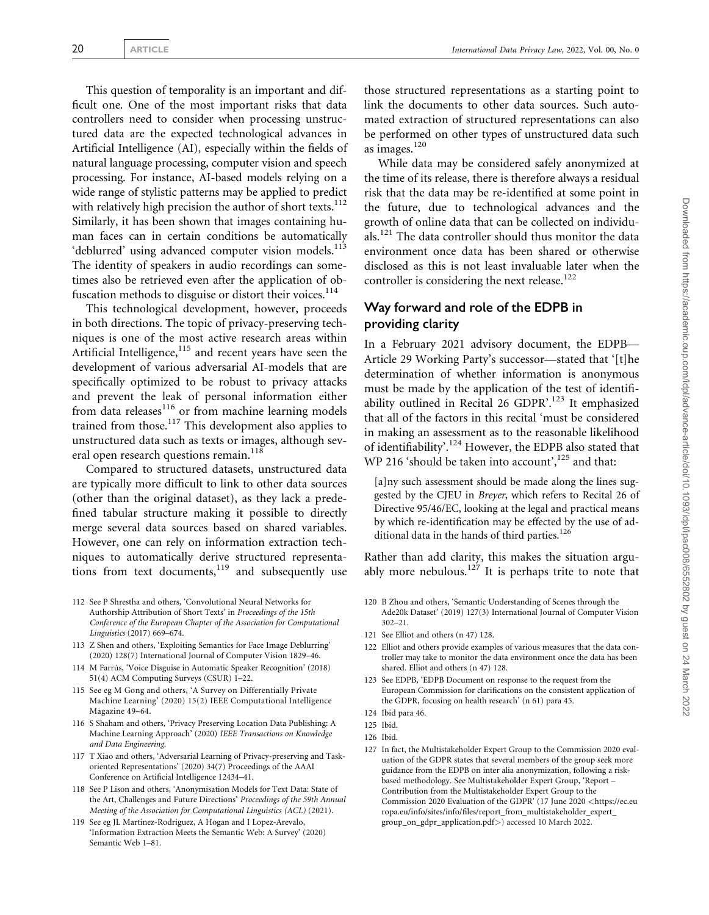This question of temporality is an important and difficult one. One of the most important risks that data controllers need to consider when processing unstructured data are the expected technological advances in Artificial Intelligence (AI), especially within the fields of natural language processing, computer vision and speech processing. For instance, AI-based models relying on a wide range of stylistic patterns may be applied to predict with relatively high precision the author of short texts.<sup>112</sup> Similarly, it has been shown that images containing human faces can in certain conditions be automatically 'deblurred' using advanced computer vision models.<sup>113</sup> The identity of speakers in audio recordings can sometimes also be retrieved even after the application of obfuscation methods to disguise or distort their voices. $114$ 

This technological development, however, proceeds in both directions. The topic of privacy-preserving techniques is one of the most active research areas within Artificial Intelligence, $115$  and recent years have seen the development of various adversarial AI-models that are specifically optimized to be robust to privacy attacks and prevent the leak of personal information either from data releases<sup>116</sup> or from machine learning models trained from those.117 This development also applies to unstructured data such as texts or images, although several open research questions remain.<sup>118</sup>

Compared to structured datasets, unstructured data are typically more difficult to link to other data sources (other than the original dataset), as they lack a predefined tabular structure making it possible to directly merge several data sources based on shared variables. However, one can rely on information extraction techniques to automatically derive structured representations from text documents, $119$  and subsequently use

- 112 See P Shrestha and others, 'Convolutional Neural Networks for Authorship Attribution of Short Texts' in Proceedings of the 15th Conference of the European Chapter of the Association for Computational Linguistics (2017) 669–674.
- 113 Z Shen and others, 'Exploiting Semantics for Face Image Deblurring' (2020) 128(7) International Journal of Computer Vision 1829–46.
- 114 M Farrús, 'Voice Disguise in Automatic Speaker Recognition' (2018) 51(4) ACM Computing Surveys (CSUR) 1–22.
- 115 See eg M Gong and others, 'A Survey on Differentially Private Machine Learning' (2020) 15(2) IEEE Computational Intelligence Magazine 49–64.
- 116 S Shaham and others, 'Privacy Preserving Location Data Publishing: A Machine Learning Approach' (2020) IEEE Transactions on Knowledge and Data Engineering.
- 117 T Xiao and others, 'Adversarial Learning of Privacy-preserving and Taskoriented Representations' (2020) 34(7) Proceedings of the AAAI Conference on Artificial Intelligence 12434–41.
- 118 See P Lison and others, 'Anonymisation Models for Text Data: State of the Art, Challenges and Future Directions' Proceedings of the 59th Annual Meeting of the Association for Computational Linguistics (ACL) (2021).
- 119 See eg JL Martinez-Rodriguez, A Hogan and I Lopez-Arevalo, 'Information Extraction Meets the Semantic Web: A Survey' (2020) Semantic Web 1–81.

those structured representations as a starting point to link the documents to other data sources. Such automated extraction of structured representations can also be performed on other types of unstructured data such as images.120

While data may be considered safely anonymized at the time of its release, there is therefore always a residual risk that the data may be re-identified at some point in the future, due to technological advances and the growth of online data that can be collected on individuals.121 The data controller should thus monitor the data environment once data has been shared or otherwise disclosed as this is not least invaluable later when the controller is considering the next release.<sup>122</sup>

## Way forward and role of the EDPB in providing clarity

In a February 2021 advisory document, the EDPB— Article 29 Working Party's successor—stated that '[t]he determination of whether information is anonymous must be made by the application of the test of identifiability outlined in Recital 26 GDPR'.<sup>123</sup> It emphasized that all of the factors in this recital 'must be considered in making an assessment as to the reasonable likelihood of identifiability'.124 However, the EDPB also stated that WP 216 'should be taken into account',  $125$  and that:

 $[a]$ ny such assessment should be made along the lines suggested by the CJEU in Breyer, which refers to Recital 26 of Directive 95/46/EC, looking at the legal and practical means by which re-identification may be effected by the use of additional data in the hands of third parties.<sup>126</sup>

Rather than add clarity, this makes the situation arguably more nebulous. $127$  It is perhaps trite to note that

- 120 B Zhou and others, 'Semantic Understanding of Scenes through the Ade20k Dataset' (2019) 127(3) International Journal of Computer Vision 302–21.
- 121 See Elliot and others (n 47) 128.
- 122 Elliot and others provide examples of various measures that the data controller may take to monitor the data environment once the data has been shared. Elliot and others (n 47) 128.
- 123 See EDPB, 'EDPB Document on response to the request from the European Commission for clarifications on the consistent application of the GDPR, focusing on health research' (n 61) para 45.
- 124 Ibid para 46.
- 125 Ibid.
- 126 Ibid.
- 127 In fact, the Multistakeholder Expert Group to the Commission 2020 evaluation of the GDPR states that several members of the group seek more guidance from the EDPB on inter alia anonymization, following a riskbased methodology. See Multistakeholder Expert Group, 'Report – Contribution from the Multistakeholder Expert Group to the Commission 2020 Evaluation of the GDPR' (17 June 2020 <[https://ec.eu](https://ec.europa.eu/info/sites/info/files/report_from_multistakeholder_expert_group_on_gdpr_application.pdf) [ropa.eu/info/sites/info/files/report\\_from\\_multistakeholder\\_expert\\_](https://ec.europa.eu/info/sites/info/files/report_from_multistakeholder_expert_group_on_gdpr_application.pdf) [group\\_on\\_gdpr\\_application.pdf](https://ec.europa.eu/info/sites/info/files/report_from_multistakeholder_expert_group_on_gdpr_application.pdf)>) accessed 10 March 2022.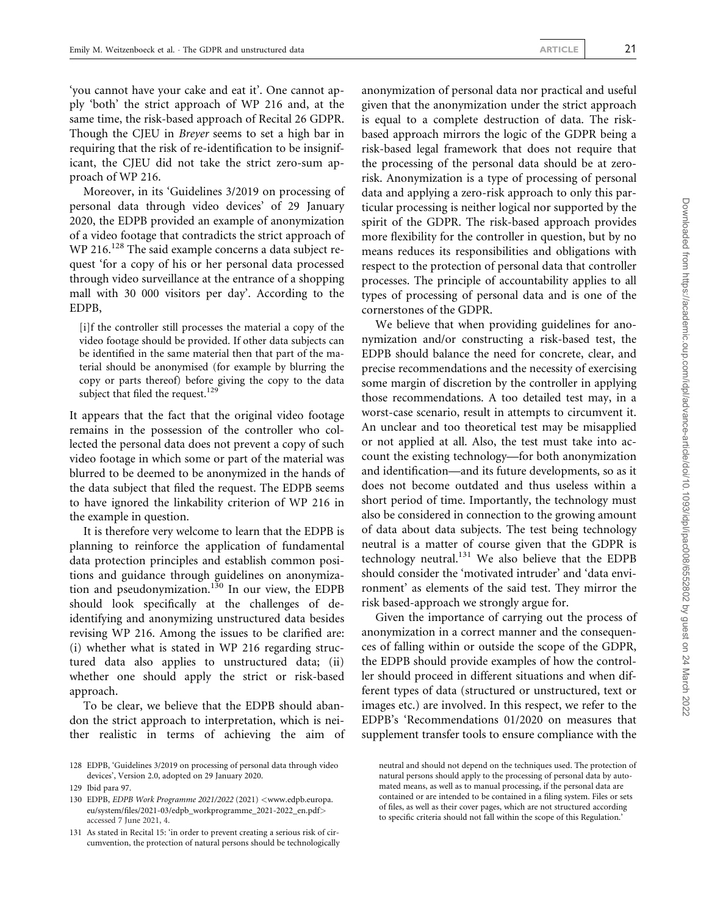'you cannot have your cake and eat it'. One cannot apply 'both' the strict approach of WP 216 and, at the same time, the risk-based approach of Recital 26 GDPR. Though the CJEU in Breyer seems to set a high bar in requiring that the risk of re-identification to be insignificant, the CJEU did not take the strict zero-sum approach of WP 216.

Moreover, in its 'Guidelines 3/2019 on processing of personal data through video devices' of 29 January 2020, the EDPB provided an example of anonymization of a video footage that contradicts the strict approach of WP 216.<sup>128</sup> The said example concerns a data subject request 'for a copy of his or her personal data processed through video surveillance at the entrance of a shopping mall with 30 000 visitors per day'. According to the EDPB,

[i]f the controller still processes the material a copy of the video footage should be provided. If other data subjects can be identified in the same material then that part of the material should be anonymised (for example by blurring the copy or parts thereof) before giving the copy to the data subject that filed the request.<sup>129</sup>

It appears that the fact that the original video footage remains in the possession of the controller who collected the personal data does not prevent a copy of such video footage in which some or part of the material was blurred to be deemed to be anonymized in the hands of the data subject that filed the request. The EDPB seems to have ignored the linkability criterion of WP 216 in the example in question.

It is therefore very welcome to learn that the EDPB is planning to reinforce the application of fundamental data protection principles and establish common positions and guidance through guidelines on anonymization and pseudonymization.<sup>130</sup> In our view, the EDPB should look specifically at the challenges of deidentifying and anonymizing unstructured data besides revising WP 216. Among the issues to be clarified are: (i) whether what is stated in WP 216 regarding structured data also applies to unstructured data; (ii) whether one should apply the strict or risk-based approach.

To be clear, we believe that the EDPB should abandon the strict approach to interpretation, which is neither realistic in terms of achieving the aim of anonymization of personal data nor practical and useful given that the anonymization under the strict approach is equal to a complete destruction of data. The riskbased approach mirrors the logic of the GDPR being a risk-based legal framework that does not require that the processing of the personal data should be at zerorisk. Anonymization is a type of processing of personal data and applying a zero-risk approach to only this particular processing is neither logical nor supported by the spirit of the GDPR. The risk-based approach provides more flexibility for the controller in question, but by no means reduces its responsibilities and obligations with respect to the protection of personal data that controller processes. The principle of accountability applies to all types of processing of personal data and is one of the cornerstones of the GDPR.

We believe that when providing guidelines for anonymization and/or constructing a risk-based test, the EDPB should balance the need for concrete, clear, and precise recommendations and the necessity of exercising some margin of discretion by the controller in applying those recommendations. A too detailed test may, in a worst-case scenario, result in attempts to circumvent it. An unclear and too theoretical test may be misapplied or not applied at all. Also, the test must take into account the existing technology—for both anonymization and identification—and its future developments, so as it does not become outdated and thus useless within a short period of time. Importantly, the technology must also be considered in connection to the growing amount of data about data subjects. The test being technology neutral is a matter of course given that the GDPR is technology neutral. $^{131}$  We also believe that the EDPB should consider the 'motivated intruder' and 'data environment' as elements of the said test. They mirror the risk based-approach we strongly argue for.

Given the importance of carrying out the process of anonymization in a correct manner and the consequences of falling within or outside the scope of the GDPR, the EDPB should provide examples of how the controller should proceed in different situations and when different types of data (structured or unstructured, text or images etc.) are involved. In this respect, we refer to the EDPB's 'Recommendations 01/2020 on measures that supplement transfer tools to ensure compliance with the

<sup>128</sup> EDPB, 'Guidelines 3/2019 on processing of personal data through video devices', Version 2.0, adopted on 29 January 2020.

<sup>129</sup> Ibid para 97.

<sup>130</sup> EDPB, EDPB Work Programme 2021/2022 (2021) <[www.edpb.europa.](http://www.edpb.europa.eu/system/files/2021-03/edpb_workprogramme_2021-2022_en.pdf) [eu/system/files/2021-03/edpb\\_workprogramme\\_2021-2022\\_en.pdf](http://www.edpb.europa.eu/system/files/2021-03/edpb_workprogramme_2021-2022_en.pdf)> accessed 7 June 2021, 4.

<sup>131</sup> As stated in Recital 15: 'in order to prevent creating a serious risk of circumvention, the protection of natural persons should be technologically

neutral and should not depend on the techniques used. The protection of natural persons should apply to the processing of personal data by automated means, as well as to manual processing, if the personal data are contained or are intended to be contained in a filing system. Files or sets of files, as well as their cover pages, which are not structured according to specific criteria should not fall within the scope of this Regulation.'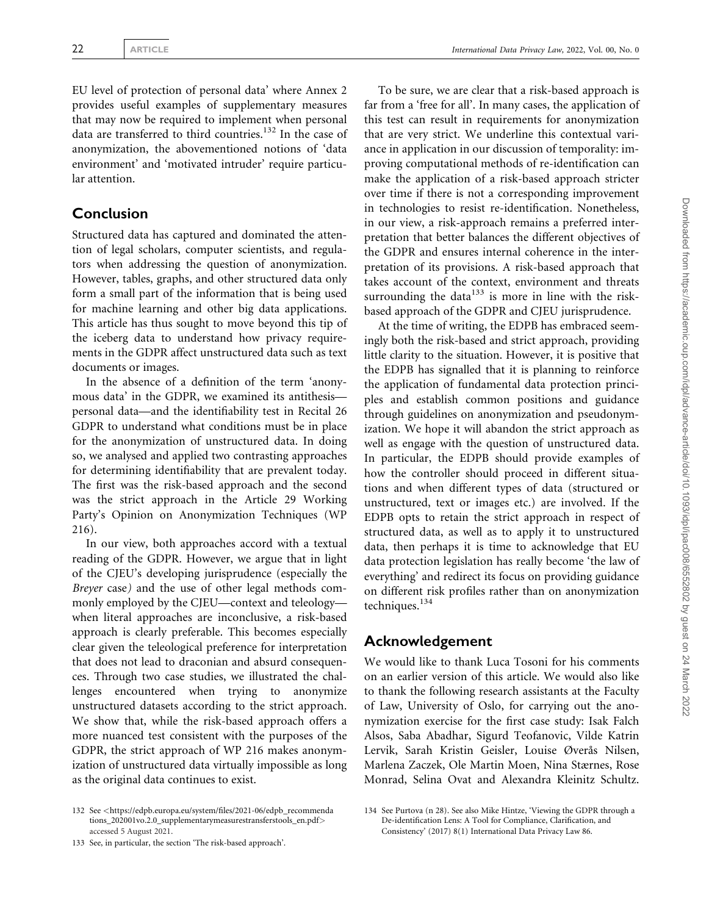EU level of protection of personal data' where Annex 2 provides useful examples of supplementary measures that may now be required to implement when personal data are transferred to third countries.132 In the case of anonymization, the abovementioned notions of 'data environment' and 'motivated intruder' require particular attention.

## Conclusion

Structured data has captured and dominated the attention of legal scholars, computer scientists, and regulators when addressing the question of anonymization. However, tables, graphs, and other structured data only form a small part of the information that is being used for machine learning and other big data applications. This article has thus sought to move beyond this tip of the iceberg data to understand how privacy requirements in the GDPR affect unstructured data such as text documents or images.

In the absence of a definition of the term 'anonymous data' in the GDPR, we examined its antithesis personal data—and the identifiability test in Recital 26 GDPR to understand what conditions must be in place for the anonymization of unstructured data. In doing so, we analysed and applied two contrasting approaches for determining identifiability that are prevalent today. The first was the risk-based approach and the second was the strict approach in the Article 29 Working Party's Opinion on Anonymization Techniques (WP 216).

In our view, both approaches accord with a textual reading of the GDPR. However, we argue that in light of the CJEU's developing jurisprudence (especially the Breyer case) and the use of other legal methods commonly employed by the CJEU—context and teleology when literal approaches are inconclusive, a risk-based approach is clearly preferable. This becomes especially clear given the teleological preference for interpretation that does not lead to draconian and absurd consequences. Through two case studies, we illustrated the challenges encountered when trying to anonymize unstructured datasets according to the strict approach. We show that, while the risk-based approach offers a more nuanced test consistent with the purposes of the GDPR, the strict approach of WP 216 makes anonymization of unstructured data virtually impossible as long as the original data continues to exist.

To be sure, we are clear that a risk-based approach is far from a 'free for all'. In many cases, the application of this test can result in requirements for anonymization that are very strict. We underline this contextual variance in application in our discussion of temporality: improving computational methods of re-identification can make the application of a risk-based approach stricter over time if there is not a corresponding improvement in technologies to resist re-identification. Nonetheless, in our view, a risk-approach remains a preferred interpretation that better balances the different objectives of the GDPR and ensures internal coherence in the interpretation of its provisions. A risk-based approach that takes account of the context, environment and threats surrounding the data $133$  is more in line with the riskbased approach of the GDPR and CJEU jurisprudence.

At the time of writing, the EDPB has embraced seemingly both the risk-based and strict approach, providing little clarity to the situation. However, it is positive that the EDPB has signalled that it is planning to reinforce the application of fundamental data protection principles and establish common positions and guidance through guidelines on anonymization and pseudonymization. We hope it will abandon the strict approach as well as engage with the question of unstructured data. In particular, the EDPB should provide examples of how the controller should proceed in different situations and when different types of data (structured or unstructured, text or images etc.) are involved. If the EDPB opts to retain the strict approach in respect of structured data, as well as to apply it to unstructured data, then perhaps it is time to acknowledge that EU data protection legislation has really become 'the law of everything' and redirect its focus on providing guidance on different risk profiles rather than on anonymization techniques.<sup>134</sup>

## Acknowledgement

We would like to thank Luca Tosoni for his comments on an earlier version of this article. We would also like to thank the following research assistants at the Faculty of Law, University of Oslo, for carrying out the anonymization exercise for the first case study: Isak Falch Alsos, Saba Abadhar, Sigurd Teofanovic, Vilde Katrin Lervik, Sarah Kristin Geisler, Louise Øverås Nilsen, Marlena Zaczek, Ole Martin Moen, Nina Stærnes, Rose Monrad, Selina Ovat and Alexandra Kleinitz Schultz.

<sup>132</sup> See <[https://edpb.europa.eu/system/files/2021-06/edpb\\_recommenda](https://edpb.europa.eu/system/files/2021-06/edpb_recommendations_202001vo.2.0_supplementarymeasurestransferstools_en.pdf) [tions\\_202001vo.2.0\\_supplementarymeasurestransferstools\\_en.pdf](https://edpb.europa.eu/system/files/2021-06/edpb_recommendations_202001vo.2.0_supplementarymeasurestransferstools_en.pdf)> accessed 5 August 2021.

<sup>133</sup> See, in particular, the section 'The risk-based approach'.

<sup>134</sup> See Purtova (n 28). See also Mike Hintze, 'Viewing the GDPR through a De-identification Lens: A Tool for Compliance, Clarification, and Consistency' (2017) 8(1) International Data Privacy Law 86.